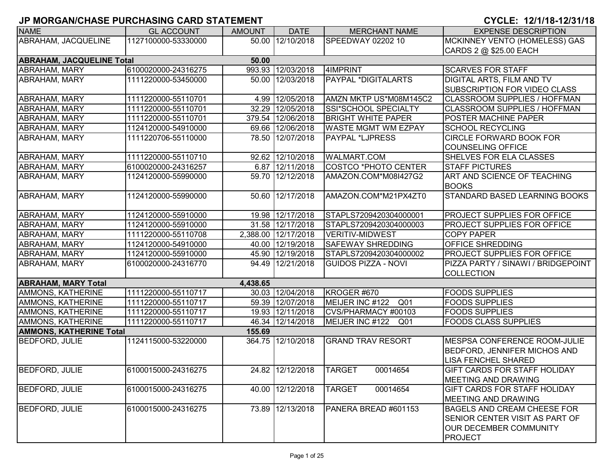| <b>NAME</b>                               | <b>GL ACCOUNT</b>   | <b>AMOUNT</b> | <b>DATE</b>         | <b>MERCHANT NAME</b>               | <b>EXPENSE DESCRIPTION</b>           |  |  |  |  |
|-------------------------------------------|---------------------|---------------|---------------------|------------------------------------|--------------------------------------|--|--|--|--|
| ABRAHAM, JACQUELINE                       | 1127100000-53330000 |               | 50.00 12/10/2018    | SPEEDWAY 02202 10                  | MCKINNEY VENTO (HOMELESS) GAS        |  |  |  |  |
|                                           |                     |               |                     |                                    | CARDS 2 @ \$25.00 EACH               |  |  |  |  |
| <b>ABRAHAM, JACQUELINE Total</b><br>50.00 |                     |               |                     |                                    |                                      |  |  |  |  |
| ABRAHAM, MARY                             | 6100020000-24316275 |               | 993.93 12/03/2018   | 4IMPRINT                           | <b>SCARVES FOR STAFF</b>             |  |  |  |  |
| ABRAHAM, MARY                             | 1111220000-53450000 | 50.00         | 12/03/2018          | <b>PAYPAL *DIGITALARTS</b>         | DIGITAL ARTS, FILM AND TV            |  |  |  |  |
|                                           |                     |               |                     |                                    | <b>SUBSCRIPTION FOR VIDEO CLASS</b>  |  |  |  |  |
| ABRAHAM, MARY                             | 1111220000-55110701 |               | 4.99 12/05/2018     | AMZN MKTP US*M08M145C2             | <b>CLASSROOM SUPPLIES / HOFFMAN</b>  |  |  |  |  |
| <b>ABRAHAM, MARY</b>                      | 1111220000-55110701 | 32.29         | 12/05/2018          | SSI*SCHOOL SPECIALTY               | <b>CLASSROOM SUPPLIES / HOFFMAN</b>  |  |  |  |  |
| <b>ABRAHAM, MARY</b>                      | 1111220000-55110701 | 379.54        | 12/06/2018          | <b>BRIGHT WHITE PAPER</b>          | <b>POSTER MACHINE PAPER</b>          |  |  |  |  |
| ABRAHAM, MARY                             | 1124120000-54910000 |               | 69.66 12/06/2018    | <b>WASTE MGMT WM EZPAY</b>         | <b>SCHOOL RECYCLING</b>              |  |  |  |  |
| ABRAHAM, MARY                             | 1111220706-55110000 |               | 78.50 12/07/2018    | PAYPAL *LJPRESS                    | <b>CIRCLE FORWARD BOOK FOR</b>       |  |  |  |  |
|                                           |                     |               |                     |                                    | <b>COUNSELING OFFICE</b>             |  |  |  |  |
| ABRAHAM, MARY                             | 1111220000-55110710 |               | 92.62 12/10/2018    | <b>WALMART.COM</b>                 | SHELVES FOR ELA CLASSES              |  |  |  |  |
| <b>ABRAHAM, MARY</b>                      | 6100020000-24316257 |               | 6.87 12/11/2018     | <b>COSTCO *PHOTO CENTER</b>        | <b>STAFF PICTURES</b>                |  |  |  |  |
| <b>ABRAHAM, MARY</b>                      | 1124120000-55990000 |               | 59.70 12/12/2018    | AMAZON.COM*M08I427G2               | <b>ART AND SCIENCE OF TEACHING</b>   |  |  |  |  |
|                                           |                     |               |                     |                                    | <b>BOOKS</b>                         |  |  |  |  |
| <b>ABRAHAM, MARY</b>                      | 1124120000-55990000 |               | 50.60 12/17/2018    | AMAZON.COM*M21PX4ZT0               | <b>STANDARD BASED LEARNING BOOKS</b> |  |  |  |  |
|                                           |                     |               |                     |                                    |                                      |  |  |  |  |
| <b>ABRAHAM, MARY</b>                      | 1124120000-55910000 |               | 19.98 12/17/2018    | STAPLS7209420304000001             | PROJECT SUPPLIES FOR OFFICE          |  |  |  |  |
| ABRAHAM, MARY                             | 1124120000-55910000 |               | 31.58 12/17/2018    | STAPLS7209420304000003             | <b>PROJECT SUPPLIES FOR OFFICE</b>   |  |  |  |  |
| <b>ABRAHAM, MARY</b>                      | 1111220000-55110708 |               | 2,388.00 12/17/2018 | <b>VERITIV-MIDWEST</b>             | <b>COPY PAPER</b>                    |  |  |  |  |
| <b>ABRAHAM, MARY</b>                      | 1124120000-54910000 |               | 40.00 12/19/2018    | <b>SAFEWAY SHREDDING</b>           | <b>OFFICE SHREDDING</b>              |  |  |  |  |
| ABRAHAM, MARY                             | 1124120000-55910000 |               | 45.90 12/19/2018    | STAPLS7209420304000002             | <b>PROJECT SUPPLIES FOR OFFICE</b>   |  |  |  |  |
| <b>ABRAHAM, MARY</b>                      | 6100020000-24316770 |               | 94.49 12/21/2018    | <b>GUIDOS PIZZA - NOVI</b>         | PIZZA PARTY / SINAWI / BRIDGEPOINT   |  |  |  |  |
|                                           |                     |               |                     |                                    | <b>COLLECTION</b>                    |  |  |  |  |
| <b>ABRAHAM, MARY Total</b>                |                     | 4,438.65      |                     |                                    |                                      |  |  |  |  |
| AMMONS, KATHERINE                         | 1111220000-55110717 | 30.03         | 12/04/2018          | KROGER #670                        | <b>FOODS SUPPLIES</b>                |  |  |  |  |
| <b>AMMONS, KATHERINE</b>                  | 1111220000-55110717 |               | 59.39 12/07/2018    | MEIJER INC #122<br>Q <sub>01</sub> | <b>FOODS SUPPLIES</b>                |  |  |  |  |
| <b>AMMONS, KATHERINE</b>                  | 1111220000-55110717 |               | 19.93 12/11/2018    | CVS/PHARMACY #00103                | <b>FOODS SUPPLIES</b>                |  |  |  |  |
| <b>AMMONS, KATHERINE</b>                  | 1111220000-55110717 |               | 46.34 12/14/2018    | MEIJER INC #122<br>Q <sub>01</sub> | <b>FOODS CLASS SUPPLIES</b>          |  |  |  |  |
| <b>AMMONS, KATHERINE Total</b>            |                     | 155.69        |                     |                                    |                                      |  |  |  |  |
| <b>BEDFORD, JULIE</b>                     | 1124115000-53220000 |               | 364.75 12/10/2018   | <b>GRAND TRAV RESORT</b>           | MESPSA CONFERENCE ROOM-JULIE         |  |  |  |  |
|                                           |                     |               |                     |                                    | <b>BEDFORD, JENNIFER MICHOS AND</b>  |  |  |  |  |
|                                           |                     |               |                     |                                    | LISA FENCHEL SHARED                  |  |  |  |  |
| <b>BEDFORD, JULIE</b>                     | 6100015000-24316275 |               | 24.82 12/12/2018    | <b>TARGET</b><br>00014654          | <b>GIFT CARDS FOR STAFF HOLIDAY</b>  |  |  |  |  |
|                                           |                     |               |                     |                                    | <b>MEETING AND DRAWING</b>           |  |  |  |  |
| <b>BEDFORD, JULIE</b>                     | 6100015000-24316275 |               | 40.00 12/12/2018    | <b>TARGET</b><br>00014654          | <b>GIFT CARDS FOR STAFF HOLIDAY</b>  |  |  |  |  |
|                                           |                     |               |                     |                                    | <b>MEETING AND DRAWING</b>           |  |  |  |  |
| <b>BEDFORD, JULIE</b>                     | 6100015000-24316275 |               | 73.89 12/13/2018    | PANERA BREAD #601153               | <b>BAGELS AND CREAM CHEESE FOR</b>   |  |  |  |  |
|                                           |                     |               |                     |                                    | SENIOR CENTER VISIT AS PART OF       |  |  |  |  |
|                                           |                     |               |                     |                                    | <b>OUR DECEMBER COMMUNITY</b>        |  |  |  |  |
|                                           |                     |               |                     |                                    | <b>PROJECT</b>                       |  |  |  |  |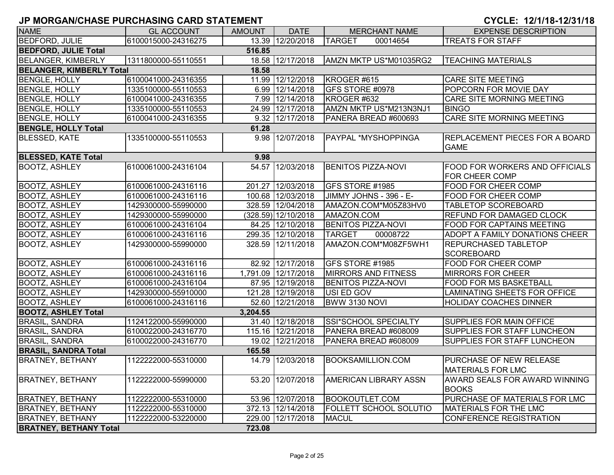| <b>NAME</b>                     | <b>GL ACCOUNT</b>   | <b>AMOUNT</b> | <b>DATE</b>           | <b>MERCHANT NAME</b>                  | <b>EXPENSE DESCRIPTION</b>                                     |
|---------------------------------|---------------------|---------------|-----------------------|---------------------------------------|----------------------------------------------------------------|
| <b>BEDFORD, JULIE</b>           | 6100015000-24316275 | 13.39         | 12/20/2018            | <b>TARGET</b><br>00014654             | <b>TREATS FOR STAFF</b>                                        |
| <b>BEDFORD, JULIE Total</b>     |                     | 516.85        |                       |                                       |                                                                |
| <b>BELANGER, KIMBERLY</b>       | 1311800000-55110551 |               | 18.58 12/17/2018      | AMZN MKTP US*M01035RG2                | <b>TEACHING MATERIALS</b>                                      |
| <b>BELANGER, KIMBERLY Total</b> |                     | 18.58         |                       |                                       |                                                                |
| <b>BENGLE, HOLLY</b>            | 6100041000-24316355 |               | 11.99 12/12/2018      | KROGER #615                           | <b>CARE SITE MEETING</b>                                       |
| <b>BENGLE, HOLLY</b>            | 1335100000-55110553 | 6.99          | 12/14/2018            | GFS STORE #0978                       | POPCORN FOR MOVIE DAY                                          |
|                                 | 6100041000-24316355 | 7.99          | 12/14/2018            |                                       | CARE SITE MORNING MEETING                                      |
| <b>BENGLE, HOLLY</b>            |                     |               |                       | KROGER #632<br>AMZN MKTP US*M213N3NJ1 |                                                                |
| <b>BENGLE, HOLLY</b>            | 1335100000-55110553 | 24.99         | 12/17/2018            |                                       | <b>BINGO</b>                                                   |
| <b>BENGLE, HOLLY</b>            | 6100041000-24316355 | 9.32          | 12/17/2018            | PANERA BREAD #600693                  | CARE SITE MORNING MEETING                                      |
| <b>BENGLE, HOLLY Total</b>      |                     | 61.28         |                       |                                       |                                                                |
| <b>BLESSED, KATE</b>            | 1335100000-55110553 |               | 9.98 12/07/2018       | PAYPAL *MYSHOPPINGA                   | <b>REPLACEMENT PIECES FOR A BOARD</b><br><b>GAME</b>           |
| <b>BLESSED, KATE Total</b>      |                     | 9.98          |                       |                                       |                                                                |
| <b>BOOTZ, ASHLEY</b>            | 6100061000-24316104 | 54.57         | 12/03/2018            | <b>BENITOS PIZZA-NOVI</b>             | <b>FOOD FOR WORKERS AND OFFICIALS</b><br><b>FOR CHEER COMP</b> |
| <b>BOOTZ, ASHLEY</b>            | 6100061000-24316116 |               | 201.27 12/03/2018     | GFS STORE #1985                       | <b>FOOD FOR CHEER COMP</b>                                     |
| <b>BOOTZ, ASHLEY</b>            | 6100061000-24316116 |               | 100.68 12/03/2018     | JIMMY JOHNS - 396 - E-                | <b>FOOD FOR CHEER COMP</b>                                     |
| <b>BOOTZ, ASHLEY</b>            | 1429300000-55990000 |               | 328.59 12/04/2018     | AMAZON.COM*M05Z83HV0                  | <b>TABLETOP SCOREBOARD</b>                                     |
| <b>BOOTZ, ASHLEY</b>            | 1429300000-55990000 |               | $(328.59)$ 12/10/2018 | AMAZON.COM                            | <b>REFUND FOR DAMAGED CLOCK</b>                                |
| <b>BOOTZ, ASHLEY</b>            | 6100061000-24316104 |               | 84.25 12/10/2018      | <b>BENITOS PIZZA-NOVI</b>             | <b>FOOD FOR CAPTAINS MEETING</b>                               |
| <b>BOOTZ, ASHLEY</b>            | 6100061000-24316116 |               | 299.35 12/10/2018     | <b>TARGET</b><br>00008722             | ADOPT A FAMILY DONATIONS CHEER                                 |
| <b>BOOTZ, ASHLEY</b>            | 1429300000-55990000 |               | 328.59 12/11/2018     | AMAZON.COM*M08ZF5WH1                  | <b>REPURCHASED TABLETOP</b>                                    |
|                                 |                     |               |                       |                                       | <b>SCOREBOARD</b>                                              |
| <b>BOOTZ, ASHLEY</b>            | 6100061000-24316116 |               | 82.92 12/17/2018      | GFS STORE #1985                       | <b>FOOD FOR CHEER COMP</b>                                     |
| <b>BOOTZ, ASHLEY</b>            | 6100061000-24316116 | 1,791.09      | 12/17/2018            | <b>MIRRORS AND FITNESS</b>            | <b>MIRRORS FOR CHEER</b>                                       |
| <b>BOOTZ, ASHLEY</b>            | 6100061000-24316104 |               | 87.95 12/19/2018      | <b>BENITOS PIZZA-NOVI</b>             | <b>FOOD FOR MS BASKETBALL</b>                                  |
| <b>BOOTZ, ASHLEY</b>            | 1429300000-55910000 |               | 121.28 12/19/2018     | USI ED GOV                            | <b>LAMINATING SHEETS FOR OFFICE</b>                            |
| <b>BOOTZ, ASHLEY</b>            | 6100061000-24316116 |               | 52.60 12/21/2018      | BWW 3130 NOVI                         | <b>HOLIDAY COACHES DINNER</b>                                  |
| <b>BOOTZ, ASHLEY Total</b>      |                     | 3,204.55      |                       |                                       |                                                                |
| <b>BRASIL, SANDRA</b>           | 1124122000-55990000 | 31.40         | 12/18/2018            | SSI*SCHOOL SPECIALTY                  | <b>SUPPLIES FOR MAIN OFFICE</b>                                |
| <b>BRASIL, SANDRA</b>           | 6100022000-24316770 |               | 115.16 12/21/2018     | PANERA BREAD #608009                  | <b>SUPPLIES FOR STAFF LUNCHEON</b>                             |
| <b>BRASIL, SANDRA</b>           | 6100022000-24316770 | 19.02         | 12/21/2018            | PANERA BREAD #608009                  | <b>SUPPLIES FOR STAFF LUNCHEON</b>                             |
| <b>BRASIL, SANDRA Total</b>     |                     | 165.58        |                       |                                       |                                                                |
| <b>BRATNEY, BETHANY</b>         | 1122222000-55310000 | 14.79         | 12/03/2018            | BOOKSAMILLION.COM                     | <b>PURCHASE OF NEW RELEASE</b>                                 |
|                                 |                     |               |                       |                                       | <b>MATERIALS FOR LMC</b>                                       |
| <b>BRATNEY, BETHANY</b>         | 1122222000-55990000 |               | 53.20 12/07/2018      | AMERICAN LIBRARY ASSN                 | <b>AWARD SEALS FOR AWARD WINNING</b>                           |
|                                 |                     |               |                       |                                       | <b>BOOKS</b>                                                   |
| <b>BRATNEY, BETHANY</b>         | 1122222000-55310000 | 53.96         | 12/07/2018            | BOOKOUTLET.COM                        | PURCHASE OF MATERIALS FOR LMC                                  |
| <b>BRATNEY, BETHANY</b>         | 1122222000-55310000 | 372.13        | 12/14/2018            | <b>FOLLETT SCHOOL SOLUTIO</b>         | <b>MATERIALS FOR THE LMC</b>                                   |
| <b>BRATNEY, BETHANY</b>         | 1122222000-53220000 | 229.00        | 12/17/2018            | <b>MACUL</b>                          | CONFERENCE REGISTRATION                                        |
| <b>BRATNEY, BETHANY Total</b>   |                     | 723.08        |                       |                                       |                                                                |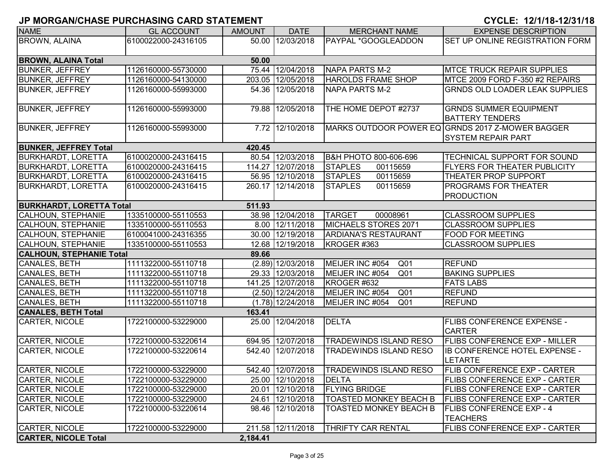| <b>NAME</b>                     | <b>GL ACCOUNT</b>   | <b>AMOUNT</b> | <b>DATE</b>         | <b>MERCHANT NAME</b>               | <b>EXPENSE DESCRIPTION</b>                         |
|---------------------------------|---------------------|---------------|---------------------|------------------------------------|----------------------------------------------------|
| <b>BROWN, ALAINA</b>            | 6100022000-24316105 |               | 50.00 12/03/2018    | PAYPAL *GOOGLEADDON                | SET UP ONLINE REGISTRATION FORM                    |
|                                 |                     |               |                     |                                    |                                                    |
| <b>BROWN, ALAINA Total</b>      |                     | 50.00         |                     |                                    |                                                    |
| <b>BUNKER, JEFFREY</b>          | 1126160000-55730000 |               | 75.44 12/04/2018    | NAPA PARTS M-2                     | <b>MTCE TRUCK REPAIR SUPPLIES</b>                  |
| <b>BUNKER, JEFFREY</b>          | 1126160000-54130000 |               | 203.05 12/05/2018   | <b>HAROLDS FRAME SHOP</b>          | MTCE 2009 FORD F-350 #2 REPAIRS                    |
| <b>BUNKER, JEFFREY</b>          | 1126160000-55993000 |               | 54.36 12/05/2018    | NAPA PARTS M-2                     | <b>GRNDS OLD LOADER LEAK SUPPLIES</b>              |
|                                 |                     |               |                     |                                    |                                                    |
| <b>BUNKER, JEFFREY</b>          | 1126160000-55993000 |               | 79.88 12/05/2018    | THE HOME DEPOT #2737               | <b>GRNDS SUMMER EQUIPMENT</b>                      |
|                                 |                     |               |                     |                                    | <b>BATTERY TENDERS</b>                             |
| <b>BUNKER, JEFFREY</b>          | 1126160000-55993000 |               | 7.72 12/10/2018     |                                    | MARKS OUTDOOR POWER EQ GRNDS 2017 Z-MOWER BAGGER   |
|                                 |                     |               |                     |                                    | <b>SYSTEM REPAIR PART</b>                          |
| <b>BUNKER, JEFFREY Total</b>    |                     | 420.45        |                     |                                    |                                                    |
| <b>BURKHARDT, LORETTA</b>       | 6100020000-24316415 |               | 80.54 12/03/2018    | B&H PHOTO 800-606-696              | <b>TECHNICAL SUPPORT FOR SOUND</b>                 |
| <b>BURKHARDT, LORETTA</b>       | 6100020000-24316415 |               | 114.27 12/07/2018   | <b>STAPLES</b><br>00115659         | <b>FLYERS FOR THEATER PUBLICITY</b>                |
| <b>BURKHARDT, LORETTA</b>       | 6100020000-24316415 |               | 56.95 12/10/2018    | <b>STAPLES</b><br>00115659         | <b>THEATER PROP SUPPORT</b>                        |
| <b>BURKHARDT, LORETTA</b>       | 6100020000-24316415 |               | 260.17 12/14/2018   | <b>STAPLES</b><br>00115659         | <b>PROGRAMS FOR THEATER</b>                        |
|                                 |                     |               |                     |                                    | <b>PRODUCTION</b>                                  |
| <b>BURKHARDT, LORETTA Total</b> |                     | 511.93        |                     |                                    |                                                    |
| CALHOUN, STEPHANIE              | 1335100000-55110553 |               | 38.98 12/04/2018    | <b>TARGET</b><br>00008961          | <b>CLASSROOM SUPPLIES</b>                          |
| <b>CALHOUN, STEPHANIE</b>       | 1335100000-55110553 |               | 8.00 12/11/2018     | MICHAELS STORES 2071               | <b>CLASSROOM SUPPLIES</b>                          |
| <b>CALHOUN, STEPHANIE</b>       | 6100041000-24316355 |               | 30.00 12/19/2018    | <b>ARDIANA'S RESTAURANT</b>        | <b>FOOD FOR MEETING</b>                            |
| CALHOUN, STEPHANIE              | 1335100000-55110553 |               | 12.68 12/19/2018    | KROGER #363                        | <b>CLASSROOM SUPPLIES</b>                          |
| <b>CALHOUN, STEPHANIE Total</b> |                     | 89.66         |                     |                                    |                                                    |
| CANALES, BETH                   | 1111322000-55110718 |               | $(2.89)$ 12/03/2018 | MEIJER INC #054<br>Q <sub>01</sub> | <b>REFUND</b>                                      |
| CANALES, BETH                   | 1111322000-55110718 |               | 29.33 12/03/2018    | MEIJER INC #054<br>Q <sub>01</sub> | <b>BAKING SUPPLIES</b>                             |
| CANALES, BETH                   | 1111322000-55110718 |               | 141.25 12/07/2018   | KROGER #632                        | <b>FATS LABS</b>                                   |
| CANALES, BETH                   | 1111322000-55110718 |               | $(2.50)$ 12/24/2018 | MEIJER INC #054<br>Q <sub>01</sub> | <b>REFUND</b>                                      |
| CANALES, BETH                   | 1111322000-55110718 |               | $(1.78)$ 12/24/2018 | MEIJER INC #054<br>Q <sub>01</sub> | <b>REFUND</b>                                      |
| <b>CANALES, BETH Total</b>      |                     | 163.41        |                     |                                    |                                                    |
| <b>CARTER, NICOLE</b>           | 1722100000-53229000 | 25.00         | 12/04/2018          | <b>DELTA</b>                       | <b>FLIBS CONFERENCE EXPENSE -</b><br><b>CARTER</b> |
| CARTER, NICOLE                  | 1722100000-53220614 |               | 694.95 12/07/2018   | TRADEWINDS ISLAND RESO             | <b>FLIBS CONFERENCE EXP - MILLER</b>               |
| <b>CARTER, NICOLE</b>           | 1722100000-53220614 | 542.40        | 12/07/2018          | TRADEWINDS ISLAND RESO             | <b>IB CONFERENCE HOTEL EXPENSE -</b>               |
|                                 |                     |               |                     |                                    | <b>LETARTE</b>                                     |
| CARTER, NICOLE                  | 1722100000-53229000 |               | 542.40 12/07/2018   | <b>TRADEWINDS ISLAND RESO</b>      | <b>FLIB CONFERENCE EXP - CARTER</b>                |
| <b>CARTER, NICOLE</b>           | 1722100000-53229000 |               | 25.00 12/10/2018    | <b>DELTA</b>                       | <b>FLIBS CONFERENCE EXP - CARTER</b>               |
| CARTER, NICOLE                  | 1722100000-53229000 |               | 20.01 12/10/2018    | <b>FLYING BRIDGE</b>               | <b>FLIBS CONFERENCE EXP - CARTER</b>               |
| <b>CARTER, NICOLE</b>           | 1722100000-53229000 |               | 24.61 12/10/2018    | <b>TOASTED MONKEY BEACH B</b>      | <b>FLIBS CONFERENCE EXP - CARTER</b>               |
| <b>CARTER, NICOLE</b>           | 1722100000-53220614 |               | 98.46 12/10/2018    | <b>TOASTED MONKEY BEACH B</b>      | <b>FLIBS CONFERENCE EXP - 4</b>                    |
|                                 |                     |               |                     |                                    | <b>TEACHERS</b>                                    |
| CARTER, NICOLE                  | 1722100000-53229000 |               | 211.58 12/11/2018   | THRIFTY CAR RENTAL                 | <b>FLIBS CONFERENCE EXP - CARTER</b>               |
| <b>CARTER, NICOLE Total</b>     |                     | 2,184.41      |                     |                                    |                                                    |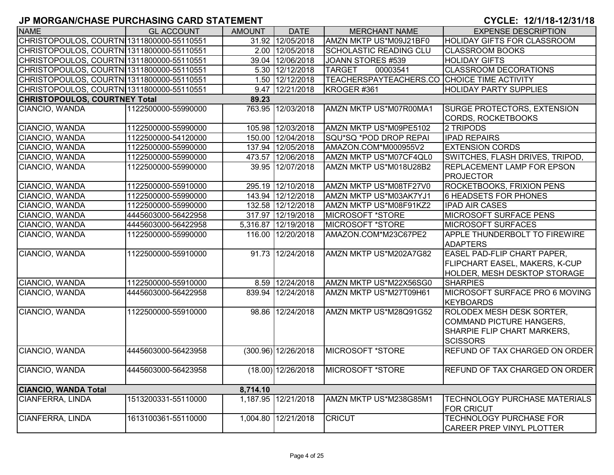| <b>NAME</b>                               | <b>GL ACCOUNT</b>   | <b>AMOUNT</b> | <b>DATE</b>           | <b>MERCHANT NAME</b>                        | <b>EXPENSE DESCRIPTION</b>            |
|-------------------------------------------|---------------------|---------------|-----------------------|---------------------------------------------|---------------------------------------|
| CHRISTOPOULOS, COURTN 1311800000-55110551 |                     |               | 31.92 12/05/2018      | AMZN MKTP US*M09J21BF0                      | <b>HOLIDAY GIFTS FOR CLASSROOM</b>    |
| CHRISTOPOULOS, COURTN 1311800000-55110551 |                     |               | 2.00 12/05/2018       | <b>SCHOLASTIC READING CLU</b>               | <b>CLASSROOM BOOKS</b>                |
| CHRISTOPOULOS, COURTN 1311800000-55110551 |                     |               | 39.04 12/06/2018      | JOANN STORES #539                           | <b>HOLIDAY GIFTS</b>                  |
| CHRISTOPOULOS, COURTN 1311800000-55110551 |                     |               | 5.30 12/12/2018       | <b>TARGET</b><br>00003541                   | <b>CLASSROOM DECORATIONS</b>          |
| CHRISTOPOULOS, COURTN 1311800000-55110551 |                     |               | 1.50 12/12/2018       | TEACHERSPAYTEACHERS.CO CHOICE TIME ACTIVITY |                                       |
| CHRISTOPOULOS, COURTN 1311800000-55110551 |                     |               | 9.47 12/21/2018       | KROGER #361                                 | <b>HOLIDAY PARTY SUPPLIES</b>         |
| <b>CHRISTOPOULOS, COURTNEY Total</b>      |                     | 89.23         |                       |                                             |                                       |
| CIANCIO, WANDA                            | 1122500000-55990000 |               | 763.95 12/03/2018     | AMZN MKTP US*M07R00MA1                      | <b>SURGE PROTECTORS, EXTENSION</b>    |
|                                           |                     |               |                       |                                             | <b>CORDS, ROCKETBOOKS</b>             |
| CIANCIO, WANDA                            | 1122500000-55990000 |               | 105.98 12/03/2018     | AMZN MKTP US*M09PE5102                      | 2 TRIPODS                             |
| CIANCIO, WANDA                            | 1122500000-54120000 |               | 150.00 12/04/2018     | SQU*SQ *POD DROP REPAI                      | <b>IPAD REPAIRS</b>                   |
| CIANCIO, WANDA                            | 1122500000-55990000 |               | 137.94 12/05/2018     | AMAZON.COM*M000955V2                        | <b>EXTENSION CORDS</b>                |
| CIANCIO, WANDA                            | 1122500000-55990000 |               | 473.57 12/06/2018     | AMZN MKTP US*M07CF4QL0                      | SWITCHES, FLASH DRIVES, TRIPOD,       |
| CIANCIO, WANDA                            | 1122500000-55990000 |               | 39.95 12/07/2018      | AMZN MKTP US*M018U28B2                      | <b>REPLACEMENT LAMP FOR EPSON</b>     |
|                                           |                     |               |                       |                                             | <b>PROJECTOR</b>                      |
| CIANCIO, WANDA                            | 1122500000-55910000 |               | 295.19 12/10/2018     | AMZN MKTP US*M08TF27V0                      | <b>ROCKETBOOKS, FRIXION PENS</b>      |
| CIANCIO, WANDA                            | 1122500000-55990000 |               | 143.94 12/12/2018     | AMZN MKTP US*M03AK7YJ1                      | 6 HEADSETS FOR PHONES                 |
| CIANCIO, WANDA                            | 1122500000-55990000 |               | 132.58 12/12/2018     | AMZN MKTP US*M08F91KZ2                      | <b>IPAD AIR CASES</b>                 |
| CIANCIO, WANDA                            | 4445603000-56422958 |               | 317.97 12/19/2018     | <b>MICROSOFT *STORE</b>                     | <b>MICROSOFT SURFACE PENS</b>         |
| CIANCIO, WANDA                            | 4445603000-56422958 |               | 5,316.87 12/19/2018   | MICROSOFT *STORE                            | <b>MICROSOFT SURFACES</b>             |
| CIANCIO, WANDA                            | 1122500000-55990000 |               | 116.00 12/20/2018     | AMAZON.COM*M23C67PE2                        | APPLE THUNDERBOLT TO FIREWIRE         |
|                                           |                     |               |                       |                                             | <b>ADAPTERS</b>                       |
| CIANCIO, WANDA                            | 1122500000-55910000 |               | 91.73 12/24/2018      | AMZN MKTP US*M202A7G82                      | <b>EASEL PAD-FLIP CHART PAPER,</b>    |
|                                           |                     |               |                       |                                             | FLIPCHART EASEL, MAKERS, K-CUP        |
|                                           |                     |               |                       |                                             | HOLDER, MESH DESKTOP STORAGE          |
| CIANCIO, WANDA                            | 1122500000-55910000 |               | 8.59 12/24/2018       | AMZN MKTP US*M22X56SG0                      | <b>SHARPIES</b>                       |
| CIANCIO, WANDA                            | 4445603000-56422958 |               | 839.94 12/24/2018     | AMZN MKTP US*M27T09H61                      | MICROSOFT SURFACE PRO 6 MOVING        |
|                                           |                     |               |                       |                                             | <b>KEYBOARDS</b>                      |
| CIANCIO, WANDA                            | 1122500000-55910000 |               | 98.86 12/24/2018      | AMZN MKTP US*M28Q91G52                      | <b>ROLODEX MESH DESK SORTER,</b>      |
|                                           |                     |               |                       |                                             | COMMAND PICTURE HANGERS,              |
|                                           |                     |               |                       |                                             | SHARPIE FLIP CHART MARKERS,           |
|                                           |                     |               |                       |                                             | <b>SCISSORS</b>                       |
| CIANCIO, WANDA                            | 4445603000-56423958 |               | $(300.96)$ 12/26/2018 | <b>MICROSOFT *STORE</b>                     | <b>REFUND OF TAX CHARGED ON ORDER</b> |
|                                           |                     |               |                       |                                             |                                       |
| CIANCIO, WANDA                            | 4445603000-56423958 |               | $(18.00)$ 12/26/2018  | MICROSOFT *STORE                            | <b>REFUND OF TAX CHARGED ON ORDER</b> |
|                                           |                     |               |                       |                                             |                                       |
| <b>CIANCIO, WANDA Total</b>               |                     | 8,714.10      |                       |                                             |                                       |
| CIANFERRA, LINDA                          | 1513200331-55110000 |               | 1,187.95 12/21/2018   | AMZN MKTP US*M238G85M1                      | <b>TECHNOLOGY PURCHASE MATERIALS</b>  |
|                                           |                     |               |                       |                                             | <b>FOR CRICUT</b>                     |
| CIANFERRA, LINDA                          | 1613100361-55110000 |               | 1,004.80 12/21/2018   | <b>CRICUT</b>                               | <b>TECHNOLOGY PURCHASE FOR</b>        |
|                                           |                     |               |                       |                                             | <b>CAREER PREP VINYL PLOTTER</b>      |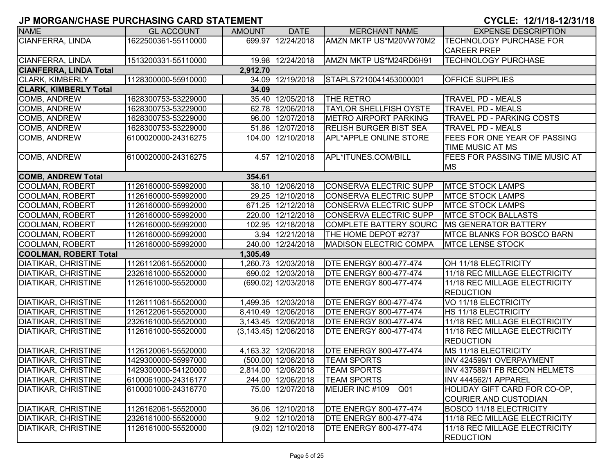| <b>NAME</b>                   | <b>GL ACCOUNT</b>   | <b>AMOUNT</b> | <b>DATE</b>              | <b>MERCHANT NAME</b>               | <b>EXPENSE DESCRIPTION</b>            |
|-------------------------------|---------------------|---------------|--------------------------|------------------------------------|---------------------------------------|
| CIANFERRA, LINDA              | 1622500361-55110000 |               | 699.97 12/24/2018        | AMZN MKTP US*M20VW70M2             | <b>TECHNOLOGY PURCHASE FOR</b>        |
|                               |                     |               |                          |                                    | <b>CAREER PREP</b>                    |
| CIANFERRA, LINDA              | 1513200331-55110000 |               | 19.98 12/24/2018         | AMZN MKTP US*M24RD6H91             | <b>TECHNOLOGY PURCHASE</b>            |
| <b>CIANFERRA, LINDA Total</b> |                     | 2,912.70      |                          |                                    |                                       |
| <b>CLARK, KIMBERLY</b>        | 1128300000-55910000 |               | 34.09 12/19/2018         | STAPLS7210041453000001             | <b>OFFICE SUPPLIES</b>                |
| <b>CLARK, KIMBERLY Total</b>  |                     | 34.09         |                          |                                    |                                       |
| <b>COMB, ANDREW</b>           | 1628300753-53229000 |               | 35.40 12/05/2018         | THE RETRO                          | <b>TRAVEL PD - MEALS</b>              |
| COMB, ANDREW                  | 1628300753-53229000 |               | 62.78 12/06/2018         | <b>TAYLOR SHELLFISH OYSTE</b>      | <b>TRAVEL PD - MEALS</b>              |
| COMB, ANDREW                  | 1628300753-53229000 |               | 96.00 12/07/2018         | <b>METRO AIRPORT PARKING</b>       | <b>TRAVEL PD - PARKING COSTS</b>      |
| COMB, ANDREW                  | 1628300753-53229000 |               | 51.86 12/07/2018         | <b>RELISH BURGER BIST SEA</b>      | <b>TRAVEL PD - MEALS</b>              |
| COMB, ANDREW                  | 6100020000-24316275 |               | 104.00 12/10/2018        | APL*APPLE ONLINE STORE             | FEES FOR ONE YEAR OF PASSING          |
|                               |                     |               |                          |                                    | TIME MUSIC AT MS                      |
| COMB, ANDREW                  | 6100020000-24316275 |               | 4.57 12/10/2018          | APL*ITUNES.COM/BILL                | <b>FEES FOR PASSING TIME MUSIC AT</b> |
|                               |                     |               |                          |                                    | <b>MS</b>                             |
| <b>COMB, ANDREW Total</b>     |                     | 354.61        |                          |                                    |                                       |
| <b>COOLMAN, ROBERT</b>        | 1126160000-55992000 |               | 38.10 12/06/2018         | CONSERVA ELECTRIC SUPP             | <b>MTCE STOCK LAMPS</b>               |
| <b>COOLMAN, ROBERT</b>        | 1126160000-55992000 |               | 29.25 12/10/2018         | CONSERVA ELECTRIC SUPP             | <b>MTCE STOCK LAMPS</b>               |
| <b>COOLMAN, ROBERT</b>        | 1126160000-55992000 |               | 671.25 12/12/2018        | <b>CONSERVA ELECTRIC SUPP</b>      | <b>MTCE STOCK LAMPS</b>               |
| <b>COOLMAN, ROBERT</b>        | 1126160000-55992000 |               | 220.00 12/12/2018        | <b>CONSERVA ELECTRIC SUPP</b>      | <b>MTCE STOCK BALLASTS</b>            |
| <b>COOLMAN, ROBERT</b>        | 1126160000-55992000 |               | 102.95 12/18/2018        | <b>COMPLETE BATTERY SOURC</b>      | <b>MS GENERATOR BATTERY</b>           |
| <b>COOLMAN, ROBERT</b>        | 1126160000-55992000 |               | 3.94 12/21/2018          | THE HOME DEPOT #2737               | <b>IMTCE BLANKS FOR BOSCO BARN</b>    |
| <b>COOLMAN, ROBERT</b>        | 1126160000-55992000 |               | 240.00 12/24/2018        | <b>MADISON ELECTRIC COMPA</b>      | <b>MTCE LENSE STOCK</b>               |
| <b>COOLMAN, ROBERT Total</b>  |                     | 1,305.49      |                          |                                    |                                       |
| <b>DIATIKAR, CHRISTINE</b>    | 1126112061-55520000 |               | 1,260.73 12/03/2018      | <b>DTE ENERGY 800-477-474</b>      | OH 11/18 ELECTRICITY                  |
| <b>DIATIKAR, CHRISTINE</b>    | 2326161000-55520000 |               | 690.02 12/03/2018        | <b>DTE ENERGY 800-477-474</b>      | 11/18 REC MILLAGE ELECTRICITY         |
| <b>DIATIKAR, CHRISTINE</b>    | 1126161000-55520000 |               | (690.02) 12/03/2018      | <b>DTE ENERGY 800-477-474</b>      | 11/18 REC MILLAGE ELECTRICITY         |
|                               |                     |               |                          |                                    | <b>REDUCTION</b>                      |
| <b>DIATIKAR, CHRISTINE</b>    | 1126111061-55520000 |               | 1,499.35 12/03/2018      | <b>DTE ENERGY 800-477-474</b>      | VO 11/18 ELECTRICITY                  |
| <b>DIATIKAR, CHRISTINE</b>    | 1126122061-55520000 |               | 8,410.49 12/06/2018      | <b>DTE ENERGY 800-477-474</b>      | HS 11/18 ELECTRICITY                  |
| <b>DIATIKAR, CHRISTINE</b>    | 2326161000-55520000 |               | 3,143.45 12/06/2018      | <b>DTE ENERGY 800-477-474</b>      | 11/18 REC MILLAGE ELECTRICITY         |
| <b>DIATIKAR, CHRISTINE</b>    | 1126161000-55520000 |               | $(3, 143.45)$ 12/06/2018 | <b>DTE ENERGY 800-477-474</b>      | 11/18 REC MILLAGE ELECTRICITY         |
|                               |                     |               |                          |                                    | <b>REDUCTION</b>                      |
| <b>DIATIKAR, CHRISTINE</b>    | 1126120061-55520000 |               | 4,163.32 12/06/2018      | <b>DTE ENERGY 800-477-474</b>      | MS 11/18 ELECTRICITY                  |
| <b>DIATIKAR, CHRISTINE</b>    | 1429300000-55997000 |               | $(500.00)$ 12/06/2018    | <b>TEAM SPORTS</b>                 | INV 424599/1 OVERPAYMENT              |
| <b>DIATIKAR, CHRISTINE</b>    | 1429300000-54120000 |               | 2,814.00 12/06/2018      | <b>TEAM SPORTS</b>                 | INV 437589/1 FB RECON HELMETS         |
| <b>DIATIKAR, CHRISTINE</b>    | 6100061000-24316177 |               | 244.00 12/06/2018        | <b>TEAM SPORTS</b>                 | INV 444562/1 APPAREL                  |
| <b>DIATIKAR, CHRISTINE</b>    | 6100001000-24316770 |               | 75.00 12/07/2018         | MEIJER INC #109<br>Q <sub>01</sub> | HOLIDAY GIFT CARD FOR CO-OP,          |
|                               |                     |               |                          |                                    | <b>COURIER AND CUSTODIAN</b>          |
| <b>DIATIKAR, CHRISTINE</b>    | 1126162061-55520000 |               | 36.06 12/10/2018         | <b>DTE ENERGY 800-477-474</b>      | <b>BOSCO 11/18 ELECTRICITY</b>        |
| <b>DIATIKAR, CHRISTINE</b>    | 2326161000-55520000 |               | 9.02 12/10/2018          | <b>DTE ENERGY 800-477-474</b>      | 11/18 REC MILLAGE ELECTRICITY         |
| <b>DIATIKAR, CHRISTINE</b>    | 1126161000-55520000 |               | $(9.02)$ 12/10/2018      | <b>DTE ENERGY 800-477-474</b>      | 11/18 REC MILLAGE ELECTRICITY         |
|                               |                     |               |                          |                                    | <b>REDUCTION</b>                      |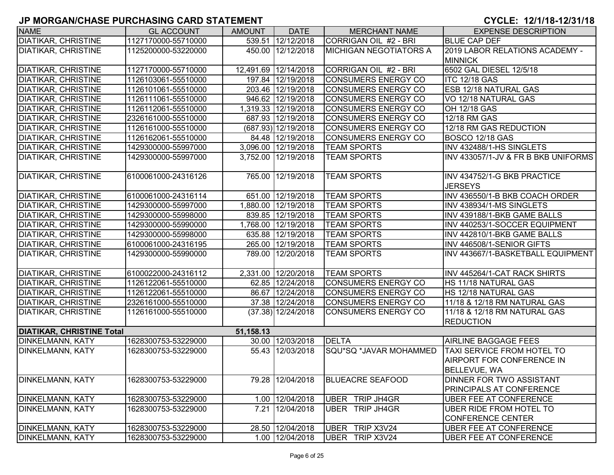| <b>NAME</b>                      | <b>GL ACCOUNT</b>   | <b>AMOUNT</b> | <b>DATE</b>          | <b>MERCHANT NAME</b>          | <b>EXPENSE DESCRIPTION</b>          |
|----------------------------------|---------------------|---------------|----------------------|-------------------------------|-------------------------------------|
| <b>DIATIKAR, CHRISTINE</b>       | 1127170000-55710000 |               | 539.51 12/12/2018    | CORRIGAN OIL #2 - BRI         | <b>BLUE CAP DEF</b>                 |
| <b>DIATIKAR, CHRISTINE</b>       | 1125200000-53220000 |               | 450.00 12/12/2018    | <b>MICHIGAN NEGOTIATORS A</b> | 2019 LABOR RELATIONS ACADEMY -      |
|                                  |                     |               |                      |                               | <b>MINNICK</b>                      |
| <b>DIATIKAR, CHRISTINE</b>       | 1127170000-55710000 |               | 12,491.69 12/14/2018 | CORRIGAN OIL #2 - BRI         | 6502 GAL DIESEL 12/5/18             |
| <b>DIATIKAR, CHRISTINE</b>       | 1126103061-55510000 |               | 197.84 12/19/2018    | <b>CONSUMERS ENERGY CO</b>    | <b>ITC 12/18 GAS</b>                |
| <b>DIATIKAR, CHRISTINE</b>       | 1126101061-55510000 |               | 203.46 12/19/2018    | CONSUMERS ENERGY CO           | <b>ESB 12/18 NATURAL GAS</b>        |
| <b>DIATIKAR, CHRISTINE</b>       | 1126111061-55510000 |               | 946.62 12/19/2018    | <b>CONSUMERS ENERGY CO</b>    | VO 12/18 NATURAL GAS                |
| <b>DIATIKAR, CHRISTINE</b>       | 1126112061-55510000 |               | 1,319.33 12/19/2018  | <b>CONSUMERS ENERGY CO</b>    | OH 12/18 GAS                        |
| <b>DIATIKAR, CHRISTINE</b>       | 2326161000-55510000 |               | 687.93 12/19/2018    | <b>CONSUMERS ENERGY CO</b>    | 12/18 RM GAS                        |
| <b>DIATIKAR, CHRISTINE</b>       | 1126161000-55510000 |               | (687.93) 12/19/2018  | <b>CONSUMERS ENERGY CO</b>    | 12/18 RM GAS REDUCTION              |
| <b>DIATIKAR, CHRISTINE</b>       | 1126162061-55510000 |               | 84.48 12/19/2018     | <b>CONSUMERS ENERGY CO</b>    | BOSCO 12/18 GAS                     |
| <b>DIATIKAR, CHRISTINE</b>       | 1429300000-55997000 |               | 3,096.00 12/19/2018  | <b>TEAM SPORTS</b>            | INV 432488/1-HS SINGLETS            |
| <b>DIATIKAR, CHRISTINE</b>       | 1429300000-55997000 |               | 3,752.00 12/19/2018  | <b>TEAM SPORTS</b>            | INV 433057/1-JV & FR B BKB UNIFORMS |
| <b>DIATIKAR, CHRISTINE</b>       | 6100061000-24316126 |               | 765.00 12/19/2018    | <b>TEAM SPORTS</b>            | INV 434752/1-G BKB PRACTICE         |
|                                  |                     |               |                      |                               | <b>JERSEYS</b>                      |
| <b>DIATIKAR, CHRISTINE</b>       | 6100061000-24316114 |               | 651.00 12/19/2018    | <b>TEAM SPORTS</b>            | INV 436550/1-B BKB COACH ORDER      |
| <b>DIATIKAR, CHRISTINE</b>       | 1429300000-55997000 |               | 1,880.00 12/19/2018  | <b>TEAM SPORTS</b>            | INV 438934/1-MS SINGLETS            |
| <b>DIATIKAR, CHRISTINE</b>       | 1429300000-55998000 |               | 839.85 12/19/2018    | <b>TEAM SPORTS</b>            | INV 439188/1-BKB GAME BALLS         |
| <b>DIATIKAR, CHRISTINE</b>       | 1429300000-55990000 |               | 1,768.00 12/19/2018  | <b>TEAM SPORTS</b>            | INV 440253/1-SOCCER EQUIPMENT       |
| <b>DIATIKAR, CHRISTINE</b>       | 1429300000-55998000 |               | 635.88 12/19/2018    | <b>TEAM SPORTS</b>            | INV 442810/1-BKB GAME BALLS         |
| <b>DIATIKAR, CHRISTINE</b>       | 6100061000-24316195 |               | 265.00 12/19/2018    | <b>TEAM SPORTS</b>            | INV 446508/1-SENIOR GIFTS           |
| <b>DIATIKAR, CHRISTINE</b>       | 1429300000-55990000 |               | 789.00 12/20/2018    | <b>TEAM SPORTS</b>            | INV 443667/1-BASKETBALL EQUIPMENT   |
| <b>DIATIKAR, CHRISTINE</b>       | 6100022000-24316112 |               | 2,331.00 12/20/2018  | <b>TEAM SPORTS</b>            | INV 445264/1-CAT RACK SHIRTS        |
| <b>DIATIKAR, CHRISTINE</b>       | 1126122061-55510000 |               | 62.85 12/24/2018     | <b>CONSUMERS ENERGY CO</b>    | HS 11/18 NATURAL GAS                |
| <b>DIATIKAR, CHRISTINE</b>       | 1126122061-55510000 |               | 86.67 12/24/2018     | <b>CONSUMERS ENERGY CO</b>    | HS 12/18 NATURAL GAS                |
| <b>DIATIKAR, CHRISTINE</b>       | 2326161000-55510000 |               | 37.38 12/24/2018     | CONSUMERS ENERGY CO           | 11/18 & 12/18 RM NATURAL GAS        |
| <b>DIATIKAR, CHRISTINE</b>       | 1126161000-55510000 |               | $(37.38)$ 12/24/2018 | <b>CONSUMERS ENERGY CO</b>    | 11/18 & 12/18 RM NATURAL GAS        |
|                                  |                     |               |                      |                               | <b>REDUCTION</b>                    |
| <b>DIATIKAR, CHRISTINE Total</b> |                     | 51,158.13     |                      |                               |                                     |
| DINKELMANN, KATY                 | 1628300753-53229000 |               | 30.00 12/03/2018     | <b>DELTA</b>                  | AIRLINE BAGGAGE FEES                |
| DINKELMANN, KATY                 | 1628300753-53229000 |               | 55.43 12/03/2018     | SQU*SQ *JAVAR MOHAMMED        | <b>TAXI SERVICE FROM HOTEL TO</b>   |
|                                  |                     |               |                      |                               | <b>AIRPORT FOR CONFERENCE IN</b>    |
|                                  |                     |               |                      |                               | <b>BELLEVUE, WA</b>                 |
| <b>DINKELMANN, KATY</b>          | 1628300753-53229000 |               | 79.28 12/04/2018     | <b>BLUEACRE SEAFOOD</b>       | <b>DINNER FOR TWO ASSISTANT</b>     |
|                                  |                     |               |                      |                               | <b>PRINCIPALS AT CONFERENCE</b>     |
| DINKELMANN, KATY                 | 1628300753-53229000 |               | 1.00 12/04/2018      | UBER TRIP JH4GR               | UBER FEE AT CONFERENCE              |
| DINKELMANN, KATY                 | 1628300753-53229000 |               | 7.21 12/04/2018      | UBER TRIP JH4GR               | UBER RIDE FROM HOTEL TO             |
|                                  |                     |               |                      |                               | CONFERENCE CENTER                   |
| <b>DINKELMANN, KATY</b>          | 1628300753-53229000 |               | 28.50 12/04/2018     | UBER TRIP X3V24               | UBER FEE AT CONFERENCE              |
| <b>DINKELMANN, KATY</b>          | 1628300753-53229000 |               | 1.00 12/04/2018      | UBER TRIP X3V24               | UBER FEE AT CONFERENCE              |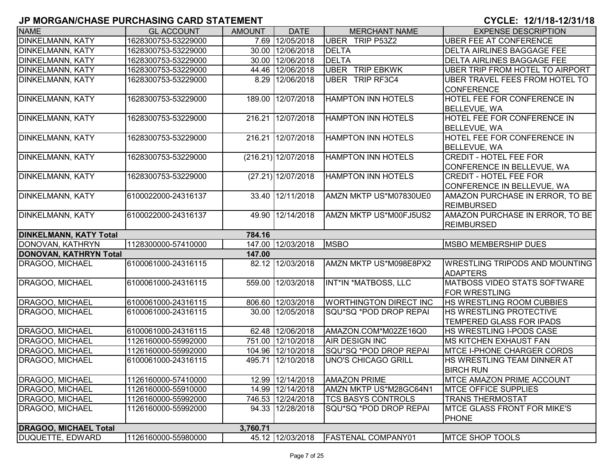| <b>NAME</b>                   | <b>GL ACCOUNT</b>   | <b>AMOUNT</b> | <b>DATE</b>          | <b>MERCHANT NAME</b>          | <b>EXPENSE DESCRIPTION</b>            |
|-------------------------------|---------------------|---------------|----------------------|-------------------------------|---------------------------------------|
| <b>DINKELMANN, KATY</b>       | 1628300753-53229000 |               | 7.69 12/05/2018      | UBER TRIP P53Z2               | <b>UBER FEE AT CONFERENCE</b>         |
| <b>DINKELMANN, KATY</b>       | 1628300753-53229000 |               | 30.00 12/06/2018     | <b>DELTA</b>                  | <b>DELTA AIRLINES BAGGAGE FEE</b>     |
| <b>DINKELMANN, KATY</b>       | 1628300753-53229000 |               | 30.00 12/06/2018     | <b>DELTA</b>                  | <b>DELTA AIRLINES BAGGAGE FEE</b>     |
| <b>DINKELMANN, KATY</b>       | 1628300753-53229000 |               | 44.46 12/06/2018     | <b>UBER TRIP EBKWK</b>        | UBER TRIP FROM HOTEL TO AIRPORT       |
| <b>DINKELMANN, KATY</b>       | 1628300753-53229000 |               | 8.29 12/06/2018      | <b>UBER TRIP RF3C4</b>        | UBER TRAVEL FEES FROM HOTEL TO        |
|                               |                     |               |                      |                               | <b>CONFERENCE</b>                     |
| <b>DINKELMANN, KATY</b>       | 1628300753-53229000 | 189.00        | 12/07/2018           | <b>HAMPTON INN HOTELS</b>     | <b>HOTEL FEE FOR CONFERENCE IN</b>    |
|                               |                     |               |                      |                               | <b>BELLEVUE, WA</b>                   |
| <b>DINKELMANN, KATY</b>       | 1628300753-53229000 | 216.21        | 12/07/2018           | <b>HAMPTON INN HOTELS</b>     | HOTEL FEE FOR CONFERENCE IN           |
|                               |                     |               |                      |                               | <b>BELLEVUE, WA</b>                   |
| <b>DINKELMANN, KATY</b>       | 1628300753-53229000 | 216.21        | 12/07/2018           | <b>HAMPTON INN HOTELS</b>     | <b>HOTEL FEE FOR CONFERENCE IN</b>    |
|                               |                     |               |                      |                               | <b>BELLEVUE, WA</b>                   |
| <b>DINKELMANN, KATY</b>       | 1628300753-53229000 |               | (216.21) 12/07/2018  | <b>HAMPTON INN HOTELS</b>     | <b>CREDIT - HOTEL FEE FOR</b>         |
|                               |                     |               |                      |                               | CONFERENCE IN BELLEVUE, WA            |
| <b>DINKELMANN, KATY</b>       | 1628300753-53229000 |               | $(27.21)$ 12/07/2018 | <b>HAMPTON INN HOTELS</b>     | <b>CREDIT - HOTEL FEE FOR</b>         |
|                               |                     |               |                      |                               | CONFERENCE IN BELLEVUE, WA            |
| <b>DINKELMANN, KATY</b>       | 6100022000-24316137 | 33.40         | 12/11/2018           | AMZN MKTP US*M07830UE0        | AMAZON PURCHASE IN ERROR, TO BE       |
|                               |                     |               |                      |                               | <b>REIMBURSED</b>                     |
| <b>DINKELMANN, KATY</b>       | 6100022000-24316137 | 49.90         | 12/14/2018           | AMZN MKTP US*M00FJ5US2        | AMAZON PURCHASE IN ERROR, TO BE       |
|                               |                     |               |                      |                               | <b>REIMBURSED</b>                     |
| <b>DINKELMANN, KATY Total</b> |                     | 784.16        |                      |                               |                                       |
| DONOVAN, KATHRYN              | 1128300000-57410000 |               | 147.00 12/03/2018    | <b>MSBO</b>                   | <b>MSBO MEMBERSHIP DUES</b>           |
| DONOVAN, KATHRYN Total        |                     | 147.00        |                      |                               |                                       |
| DRAGOO, MICHAEL               | 6100061000-24316115 | 82.12         | 12/03/2018           | AMZN MKTP US*M098E8PX2        | <b>WRESTLING TRIPODS AND MOUNTING</b> |
|                               |                     |               |                      |                               | <b>ADAPTERS</b>                       |
| DRAGOO, MICHAEL               | 6100061000-24316115 | 559.00        | 12/03/2018           | INT*IN *MATBOSS, LLC          | <b>MATBOSS VIDEO STATS SOFTWARE</b>   |
|                               |                     |               |                      |                               | <b>FOR WRESTLING</b>                  |
| DRAGOO, MICHAEL               | 6100061000-24316115 |               | 806.60 12/03/2018    | <b>WORTHINGTON DIRECT INC</b> | HS WRESTLING ROOM CUBBIES             |
| DRAGOO, MICHAEL               | 6100061000-24316115 |               | 30.00 12/05/2018     | SQU*SQ *POD DROP REPAI        | <b>HS WRESTLING PROTECTIVE</b>        |
|                               |                     |               |                      |                               | <b>TEMPERED GLASS FOR IPADS</b>       |
| DRAGOO, MICHAEL               | 6100061000-24316115 |               | 62.48 12/06/2018     | AMAZON.COM*M02ZE16Q0          | <b>HS WRESTLING I-PODS CASE</b>       |
| DRAGOO, MICHAEL               | 1126160000-55992000 |               | 751.00 12/10/2018    | <b>AIR DESIGN INC</b>         | <b>IMS KITCHEN EXHAUST FAN</b>        |
| DRAGOO, MICHAEL               | 1126160000-55992000 |               | 104.96 12/10/2018    | SQU*SQ *POD DROP REPAI        | <b>MTCE I-PHONE CHARGER CORDS</b>     |
| DRAGOO, MICHAEL               | 6100061000-24316115 | 495.71        | 12/10/2018           | <b>UNO'S CHICAGO GRILL</b>    | HS WRESTLING TEAM DINNER AT           |
|                               |                     |               |                      |                               | <b>BIRCH RUN</b>                      |
| DRAGOO, MICHAEL               | 1126160000-57410000 |               | 12.99 12/14/2018     | <b>AMAZON PRIME</b>           | <b>IMTCE AMAZON PRIME ACCOUNT</b>     |
| DRAGOO, MICHAEL               | 1126160000-55910000 |               | 14.99 12/14/2018     | AMZN MKTP US*M28GC64N1        | <b>IMTCE OFFICE SUPPLIES</b>          |
| DRAGOO, MICHAEL               | 1126160000-55992000 |               | 746.53 12/24/2018    | <b>TCS BASYS CONTROLS</b>     | <b>TRANS THERMOSTAT</b>               |
| DRAGOO, MICHAEL               | 1126160000-55992000 |               | 94.33 12/28/2018     | SQU*SQ *POD DROP REPAI        | <b>MTCE GLASS FRONT FOR MIKE'S</b>    |
|                               |                     |               |                      |                               | <b>PHONE</b>                          |
| <b>DRAGOO, MICHAEL Total</b>  |                     | 3,760.71      |                      |                               |                                       |
| <b>DUQUETTE, EDWARD</b>       | 1126160000-55980000 |               | 45.12 12/03/2018     | <b>FASTENAL COMPANY01</b>     | <b>MTCE SHOP TOOLS</b>                |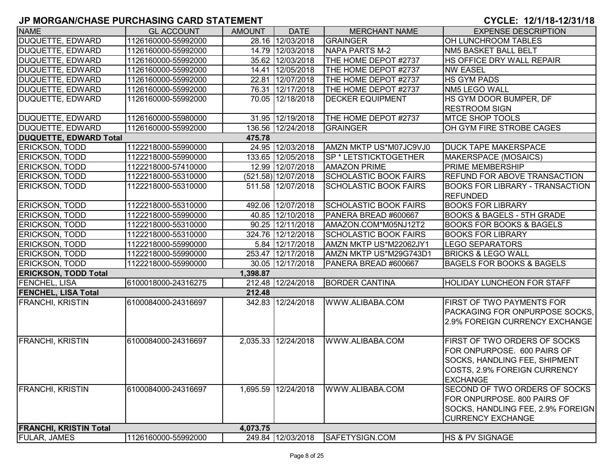| <b>NAME</b>                   | <b>GL ACCOUNT</b>   | <b>AMOUNT</b> | <b>DATE</b>         | <b>MERCHANT NAME</b>         | <b>EXPENSE DESCRIPTION</b>                                                                                                                             |
|-------------------------------|---------------------|---------------|---------------------|------------------------------|--------------------------------------------------------------------------------------------------------------------------------------------------------|
| <b>DUQUETTE, EDWARD</b>       | 1126160000-55992000 |               | 28.16 12/03/2018    | GRAINGER                     | OH LUNCHROOM TABLES                                                                                                                                    |
| DUQUETTE, EDWARD              | 1126160000-55992000 |               | 14.79 12/03/2018    | NAPA PARTS M-2               | <b>NM5 BASKET BALL BELT</b>                                                                                                                            |
| DUQUETTE, EDWARD              | 1126160000-55992000 |               | 35.62 12/03/2018    | THE HOME DEPOT #2737         | HS OFFICE DRY WALL REPAIR                                                                                                                              |
| DUQUETTE, EDWARD              | 1126160000-55992000 |               | 14.41 12/05/2018    | THE HOME DEPOT #2737         | <b>NW EASEL</b>                                                                                                                                        |
| DUQUETTE, EDWARD              | 1126160000-55992000 |               | 22.81 12/07/2018    | THE HOME DEPOT #2737         | <b>HS GYM PADS</b>                                                                                                                                     |
| DUQUETTE, EDWARD              | 1126160000-55992000 |               | 76.31 12/17/2018    | THE HOME DEPOT #2737         | NM5 LEGO WALL                                                                                                                                          |
| DUQUETTE, EDWARD              | 1126160000-55992000 |               | 70.05 12/18/2018    | <b>DECKER EQUIPMENT</b>      | HS GYM DOOR BUMPER, DF<br><b>RESTROOM SIGN</b>                                                                                                         |
| DUQUETTE, EDWARD              | 1126160000-55980000 |               | 31.95 12/19/2018    | THE HOME DEPOT #2737         | <b>MTCE SHOP TOOLS</b>                                                                                                                                 |
| DUQUETTE, EDWARD              | 1126160000-55992000 |               | 136.56 12/24/2018   | GRAINGER                     | OH GYM FIRE STROBE CAGES                                                                                                                               |
| <b>DUQUETTE, EDWARD Total</b> |                     | 475.78        |                     |                              |                                                                                                                                                        |
| <b>ERICKSON, TODD</b>         | 1122218000-55990000 |               | 24.95 12/03/2018    | AMZN MKTP US*M07JC9VJ0       | <b>DUCK TAPE MAKERSPACE</b>                                                                                                                            |
| <b>ERICKSON, TODD</b>         | 1122218000-55990000 |               | 133.65 12/05/2018   | SP * LETSTICKTOGETHER        | MAKERSPACE (MOSAICS)                                                                                                                                   |
| <b>ERICKSON, TODD</b>         | 1122218000-57410000 |               | 12.99 12/07/2018    | <b>AMAZON PRIME</b>          | <b>PRIME MEMBERSHIP</b>                                                                                                                                |
| <b>ERICKSON, TODD</b>         | 1122218000-55310000 |               | (521.58) 12/07/2018 | <b>SCHOLASTIC BOOK FAIRS</b> | REFUND FOR ABOVE TRANSACTION                                                                                                                           |
| <b>ERICKSON, TODD</b>         | 1122218000-55310000 |               | 511.58 12/07/2018   | <b>SCHOLASTIC BOOK FAIRS</b> | <b>BOOKS FOR LIBRARY - TRANSACTION</b><br><b>REFUNDED</b>                                                                                              |
| <b>ERICKSON, TODD</b>         | 1122218000-55310000 |               | 492.06 12/07/2018   | <b>SCHOLASTIC BOOK FAIRS</b> | <b>BOOKS FOR LIBRARY</b>                                                                                                                               |
| <b>ERICKSON, TODD</b>         | 1122218000-55990000 |               | 40.85 12/10/2018    | PANERA BREAD #600667         | <b>BOOKS &amp; BAGELS - 5TH GRADE</b>                                                                                                                  |
| <b>ERICKSON, TODD</b>         | 1122218000-55310000 |               | 90.25 12/11/2018    | AMAZON.COM*M05NJ12T2         | <b>BOOKS FOR BOOKS &amp; BAGELS</b>                                                                                                                    |
| <b>ERICKSON, TODD</b>         | 1122218000-55310000 |               | 324.76 12/12/2018   | <b>SCHOLASTIC BOOK FAIRS</b> | <b>BOOKS FOR LIBRARY</b>                                                                                                                               |
| ERICKSON, TODD                | 1122218000-55990000 |               | 5.84 12/17/2018     | AMZN MKTP US*M22062JY1       | <b>LEGO SEPARATORS</b>                                                                                                                                 |
| <b>ERICKSON, TODD</b>         | 1122218000-55990000 |               | 253.47 12/17/2018   | AMZN MKTP US*M29G743D1       | <b>BRICKS &amp; LEGO WALL</b>                                                                                                                          |
| <b>ERICKSON, TODD</b>         | 1122218000-55990000 |               | 30.05 12/17/2018    | PANERA BREAD #600667         | <b>BAGELS FOR BOOKS &amp; BAGELS</b>                                                                                                                   |
| <b>ERICKSON, TODD Total</b>   |                     | 1,398.87      |                     |                              |                                                                                                                                                        |
| <b>FENCHEL, LISA</b>          | 6100018000-24316275 |               | 212.48 12/24/2018   | <b>BORDER CANTINA</b>        | <b>HOLIDAY LUNCHEON FOR STAFF</b>                                                                                                                      |
| <b>FENCHEL, LISA Total</b>    |                     | 212.48        |                     |                              |                                                                                                                                                        |
| <b>FRANCHI, KRISTIN</b>       | 6100084000-24316697 |               | 342.83 12/24/2018   | WWW.ALIBABA.COM              | <b>FIRST OF TWO PAYMENTS FOR</b><br>PACKAGING FOR ONPURPOSE SOCKS,<br>2.9% FOREIGN CURRENCY EXCHANGE                                                   |
| <b>FRANCHI, KRISTIN</b>       | 6100084000-24316697 |               | 2,035.33 12/24/2018 | WWW.ALIBABA.COM              | <b>FIRST OF TWO ORDERS OF SOCKS</b><br>FOR ONPURPOSE. 600 PAIRS OF<br>SOCKS, HANDLING FEE, SHIPMENT<br>COSTS, 2.9% FOREIGN CURRENCY<br><b>EXCHANGE</b> |
| <b>FRANCHI, KRISTIN</b>       | 6100084000-24316697 |               | 1,695.59 12/24/2018 | WWW.ALIBABA.COM              | SECOND OF TWO ORDERS OF SOCKS<br>FOR ONPURPOSE. 800 PAIRS OF<br>SOCKS, HANDLING FEE, 2.9% FOREIGN<br><b>CURRENCY EXCHANGE</b>                          |
| <b>FRANCHI, KRISTIN Total</b> |                     | 4,073.75      |                     |                              |                                                                                                                                                        |
| <b>FULAR, JAMES</b>           | 1126160000-55992000 |               | 249.84 12/03/2018   | SAFETYSIGN.COM               | <b>HS &amp; PV SIGNAGE</b>                                                                                                                             |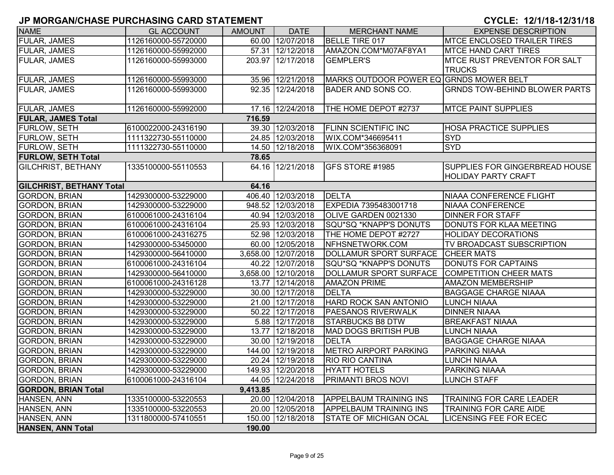| <b>NAME</b>                     | <b>GL ACCOUNT</b>   | <b>AMOUNT</b> | <b>DATE</b>         | <b>MERCHANT NAME</b>                    | <b>EXPENSE DESCRIPTION</b>            |
|---------------------------------|---------------------|---------------|---------------------|-----------------------------------------|---------------------------------------|
| FULAR, JAMES                    | 1126160000-55720000 |               | 60.00 12/07/2018    | <b>BELLE TIRE 017</b>                   | <b>MTCE ENCLOSED TRAILER TIRES</b>    |
| <b>FULAR, JAMES</b>             | 1126160000-55992000 |               | 57.31 12/12/2018    | AMAZON.COM*M07AF8YA1                    | <b>MTCE HAND CART TIRES</b>           |
| <b>FULAR, JAMES</b>             | 1126160000-55993000 |               | 203.97 12/17/2018   | <b>GEMPLER'S</b>                        | <b>IMTCE RUST PREVENTOR FOR SALT</b>  |
|                                 |                     |               |                     |                                         | <b>TRUCKS</b>                         |
| <b>FULAR, JAMES</b>             | 1126160000-55993000 |               | 35.96 12/21/2018    | MARKS OUTDOOR POWER EQ GRNDS MOWER BELT |                                       |
| <b>FULAR, JAMES</b>             | 1126160000-55993000 |               | 92.35 12/24/2018    | BADER AND SONS CO.                      | <b>GRNDS TOW-BEHIND BLOWER PARTS</b>  |
|                                 |                     |               |                     |                                         |                                       |
| <b>FULAR, JAMES</b>             | 1126160000-55992000 |               | 17.16 12/24/2018    | THE HOME DEPOT #2737                    | <b>MTCE PAINT SUPPLIES</b>            |
| <b>FULAR, JAMES Total</b>       |                     | 716.59        |                     |                                         |                                       |
| <b>FURLOW, SETH</b>             | 6100022000-24316190 |               | 39.30 12/03/2018    | <b>FLINN SCIENTIFIC INC</b>             | <b>HOSA PRACTICE SUPPLIES</b>         |
| FURLOW, SETH                    | 1111322730-55110000 |               | 24.85 12/03/2018    | WIX.COM*346695411                       | <b>SYD</b>                            |
| <b>FURLOW, SETH</b>             | 1111322730-55110000 |               | 14.50 12/18/2018    | WIX.COM*356368091                       | <b>SYD</b>                            |
| <b>FURLOW, SETH Total</b>       |                     | 78.65         |                     |                                         |                                       |
| <b>GILCHRIST, BETHANY</b>       | 1335100000-55110553 |               | 64.16 12/21/2018    | <b>GFS STORE #1985</b>                  | <b>SUPPLIES FOR GINGERBREAD HOUSE</b> |
|                                 |                     |               |                     |                                         | <b>HOLIDAY PARTY CRAFT</b>            |
| <b>GILCHRIST, BETHANY Total</b> |                     | 64.16         |                     |                                         |                                       |
| <b>GORDON, BRIAN</b>            | 1429300000-53229000 |               | 406.40 12/03/2018   | <b>DELTA</b>                            | <b>NIAAA CONFERENCE FLIGHT</b>        |
| <b>GORDON, BRIAN</b>            | 1429300000-53229000 |               | 948.52 12/03/2018   | EXPEDIA 7395483001718                   | NIAAA CONFERENCE                      |
| <b>GORDON, BRIAN</b>            | 6100061000-24316104 |               | 40.94 12/03/2018    | OLIVE GARDEN 0021330                    | <b>DINNER FOR STAFF</b>               |
| <b>GORDON, BRIAN</b>            | 6100061000-24316104 |               | 25.93 12/03/2018    | SQU*SQ *KNAPP'S DONUTS                  | DONUTS FOR KLAA MEETING               |
| <b>GORDON, BRIAN</b>            | 6100061000-24316275 |               | 52.98 12/03/2018    | THE HOME DEPOT #2727                    | <b>HOLIDAY DECORATIONS</b>            |
| <b>GORDON, BRIAN</b>            | 1429300000-53450000 |               | 60.00 12/05/2018    | NFHSNETWORK.COM                         | TV BROADCAST SUBSCRIPTION             |
| <b>GORDON, BRIAN</b>            | 1429300000-56410000 |               | 3,658.00 12/07/2018 | DOLLAMUR SPORT SURFACE                  | <b>CHEER MATS</b>                     |
| <b>GORDON, BRIAN</b>            | 6100061000-24316104 |               | 40.22 12/07/2018    | SQU*SQ *KNAPP'S DONUTS                  | DONUTS FOR CAPTAINS                   |
| <b>GORDON, BRIAN</b>            | 1429300000-56410000 |               | 3,658.00 12/10/2018 | <b>DOLLAMUR SPORT SURFACE</b>           | COMPETITION CHEER MATS                |
| <b>GORDON, BRIAN</b>            | 6100061000-24316128 |               | 13.77 12/14/2018    | <b>AMAZON PRIME</b>                     | <b>AMAZON MEMBERSHIP</b>              |
| <b>GORDON, BRIAN</b>            | 1429300000-53229000 |               | 30.00 12/17/2018    | <b>DELTA</b>                            | <b>BAGGAGE CHARGE NIAAA</b>           |
| <b>GORDON, BRIAN</b>            | 1429300000-53229000 |               | 21.00 12/17/2018    | HARD ROCK SAN ANTONIO                   | <b>LUNCH NIAAA</b>                    |
| <b>GORDON, BRIAN</b>            | 1429300000-53229000 |               | 50.22 12/17/2018    | <b>PAESANOS RIVERWALK</b>               | <b>DINNER NIAAA</b>                   |
| <b>GORDON, BRIAN</b>            | 1429300000-53229000 |               | 5.88 12/17/2018     | <b>STARBUCKS B8 DTW</b>                 | <b>BREAKFAST NIAAA</b>                |
| <b>GORDON, BRIAN</b>            | 1429300000-53229000 |               | 13.77 12/18/2018    | MAD DOGS BRITISH PUB                    | <b>LUNCH NIAAA</b>                    |
| <b>GORDON, BRIAN</b>            | 1429300000-53229000 |               | 30.00 12/19/2018    | <b>DELTA</b>                            | <b>BAGGAGE CHARGE NIAAA</b>           |
| <b>GORDON, BRIAN</b>            | 1429300000-53229000 |               | 144.00 12/19/2018   | <b>METRO AIRPORT PARKING</b>            | <b>PARKING NIAAA</b>                  |
| <b>GORDON, BRIAN</b>            | 1429300000-53229000 |               | 20.24 12/19/2018    | <b>RIO RIO CANTINA</b>                  | <b>LUNCH NIAAA</b>                    |
| <b>GORDON, BRIAN</b>            | 1429300000-53229000 |               | 149.93 12/20/2018   | <b>HYATT HOTELS</b>                     | <b>PARKING NIAAA</b>                  |
| <b>GORDON, BRIAN</b>            | 6100061000-24316104 |               | 44.05 12/24/2018    | <b>PRIMANTI BROS NOVI</b>               | <b>LUNCH STAFF</b>                    |
| <b>GORDON, BRIAN Total</b>      |                     | 9,413.85      |                     |                                         |                                       |
| HANSEN, ANN                     | 1335100000-53220553 |               | 20.00 12/04/2018    | <b>APPELBAUM TRAINING INS</b>           | TRAINING FOR CARE LEADER              |
| HANSEN, ANN                     | 1335100000-53220553 |               | 20.00 12/05/2018    | APPELBAUM TRAINING INS                  | <b>TRAINING FOR CARE AIDE</b>         |
| HANSEN, ANN                     | 1311800000-57410551 |               | 150.00 12/18/2018   | <b>STATE OF MICHIGAN OCAL</b>           | <b>LICENSING FEE FOR ECEC</b>         |
| HANSEN, ANN Total               |                     | 190.00        |                     |                                         |                                       |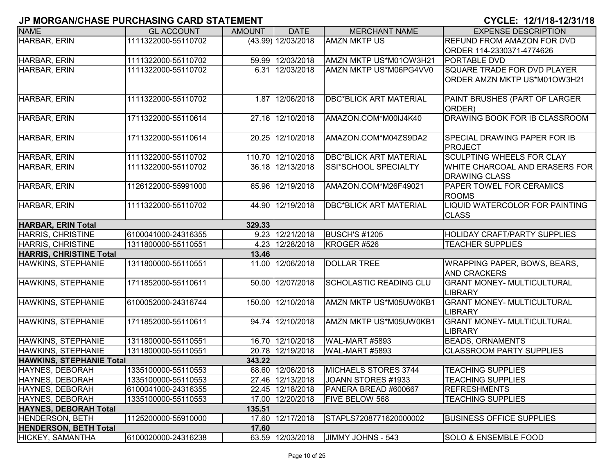| <b>NAME</b>                     | <b>GL ACCOUNT</b>   | <b>AMOUNT</b> | <b>DATE</b>        | <b>MERCHANT NAME</b>          | <b>EXPENSE DESCRIPTION</b>                             |
|---------------------------------|---------------------|---------------|--------------------|-------------------------------|--------------------------------------------------------|
| HARBAR, ERIN                    | 1111322000-55110702 |               | (43.99) 12/03/2018 | <b>AMZN MKTP US</b>           | <b>REFUND FROM AMAZON FOR DVD</b>                      |
|                                 |                     |               |                    |                               | ORDER 114-2330371-4774626                              |
| HARBAR, ERIN                    | 1111322000-55110702 |               | 59.99 12/03/2018   | AMZN MKTP US*M01OW3H21        | <b>PORTABLE DVD</b>                                    |
| HARBAR, ERIN                    | 1111322000-55110702 |               | 6.31 12/03/2018    | AMZN MKTP US*M06PG4VV0        | <b>SQUARE TRADE FOR DVD PLAYER</b>                     |
|                                 |                     |               |                    |                               | ORDER AMZN MKTP US*M01OW3H21                           |
|                                 |                     |               |                    |                               |                                                        |
| HARBAR, ERIN                    | 1111322000-55110702 |               | 1.87 12/06/2018    | <b>DBC*BLICK ART MATERIAL</b> | PAINT BRUSHES (PART OF LARGER<br>ORDER)                |
| HARBAR, ERIN                    | 1711322000-55110614 | 27.16         | 12/10/2018         | AMAZON.COM*M00IJ4K40          | <b>DRAWING BOOK FOR IB CLASSROOM</b>                   |
| HARBAR, ERIN                    | 1711322000-55110614 | 20.25         | 12/10/2018         | AMAZON.COM*M04ZS9DA2          | <b>SPECIAL DRAWING PAPER FOR IB</b><br><b>PROJECT</b>  |
| HARBAR, ERIN                    | 1111322000-55110702 |               | 110.70 12/10/2018  | <b>DBC*BLICK ART MATERIAL</b> | <b>SCULPTING WHEELS FOR CLAY</b>                       |
| HARBAR, ERIN                    | 1111322000-55110702 |               | 36.18 12/13/2018   | SSI*SCHOOL SPECIALTY          | WHITE CHARCOAL AND ERASERS FOR<br><b>DRAWING CLASS</b> |
| HARBAR, ERIN                    | 1126122000-55991000 | 65.96         | 12/19/2018         | AMAZON.COM*M26F49021          | <b>PAPER TOWEL FOR CERAMICS</b><br><b>ROOMS</b>        |
| HARBAR, ERIN                    | 1111322000-55110702 | 44.90         | 12/19/2018         | <b>DBC*BLICK ART MATERIAL</b> | <b>LIQUID WATERCOLOR FOR PAINTING</b><br><b>CLASS</b>  |
| <b>HARBAR, ERIN Total</b>       |                     | 329.33        |                    |                               |                                                        |
| <b>HARRIS, CHRISTINE</b>        | 6100041000-24316355 |               | 9.23 12/21/2018    | <b>BUSCH'S #1205</b>          | <b>HOLIDAY CRAFT/PARTY SUPPLIES</b>                    |
| <b>HARRIS, CHRISTINE</b>        | 1311800000-55110551 |               | 4.23 12/28/2018    | KROGER #526                   | <b>TEACHER SUPPLIES</b>                                |
| <b>HARRIS, CHRISTINE Total</b>  |                     | 13.46         |                    |                               |                                                        |
| HAWKINS, STEPHANIE              | 1311800000-55110551 |               | 11.00 12/06/2018   | <b>DOLLAR TREE</b>            | WRAPPING PAPER, BOWS, BEARS,<br><b>AND CRACKERS</b>    |
| <b>HAWKINS, STEPHANIE</b>       | 1711852000-55110611 | 50.00         | 12/07/2018         | <b>SCHOLASTIC READING CLU</b> | <b>GRANT MONEY- MULTICULTURAL</b><br><b>LIBRARY</b>    |
| HAWKINS, STEPHANIE              | 6100052000-24316744 | 150.00        | 12/10/2018         | AMZN MKTP US*M05UW0KB1        | <b>GRANT MONEY- MULTICULTURAL</b><br><b>LIBRARY</b>    |
| HAWKINS, STEPHANIE              | 1711852000-55110611 | 94.74         | 12/10/2018         | AMZN MKTP US*M05UW0KB1        | <b>GRANT MONEY- MULTICULTURAL</b><br><b>LIBRARY</b>    |
| HAWKINS, STEPHANIE              | 1311800000-55110551 |               | 16.70 12/10/2018   | WAL-MART #5893                | <b>BEADS, ORNAMENTS</b>                                |
| HAWKINS, STEPHANIE              | 1311800000-55110551 |               | 20.78 12/19/2018   | WAL-MART #5893                | <b>CLASSROOM PARTY SUPPLIES</b>                        |
| <b>HAWKINS, STEPHANIE Total</b> |                     | 343.22        |                    |                               |                                                        |
| HAYNES, DEBORAH                 | 1335100000-55110553 |               | 68.60 12/06/2018   | MICHAELS STORES 3744          | <b>TEACHING SUPPLIES</b>                               |
| HAYNES, DEBORAH                 | 1335100000-55110553 |               | 27.46 12/13/2018   | JOANN STORES #1933            | <b>TEACHING SUPPLIES</b>                               |
| HAYNES, DEBORAH                 | 6100041000-24316355 |               | 22.45 12/18/2018   | PANERA BREAD #600667          | <b>REFRESHMENTS</b>                                    |
| HAYNES, DEBORAH                 | 1335100000-55110553 |               | 17.00 12/20/2018   | <b>FIVE BELOW 568</b>         | <b>TEACHING SUPPLIES</b>                               |
| <b>HAYNES, DEBORAH Total</b>    |                     | 135.51        |                    |                               |                                                        |
| <b>HENDERSON, BETH</b>          | 1125200000-55910000 |               | 17.60 12/17/2018   | STAPLS7208771620000002        | <b>BUSINESS OFFICE SUPPLIES</b>                        |
| <b>HENDERSON, BETH Total</b>    |                     | 17.60         |                    |                               |                                                        |
| <b>HICKEY, SAMANTHA</b>         | 6100020000-24316238 |               | 63.59 12/03/2018   | JIMMY JOHNS - 543             | <b>SOLO &amp; ENSEMBLE FOOD</b>                        |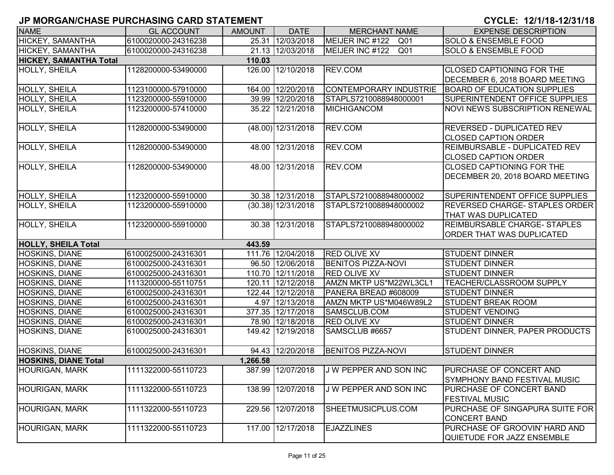| <b>NAME</b>                   | <b>GL ACCOUNT</b>   | <b>AMOUNT</b> | <b>DATE</b>          | <b>MERCHANT NAME</b>          | <b>EXPENSE DESCRIPTION</b>                                  |
|-------------------------------|---------------------|---------------|----------------------|-------------------------------|-------------------------------------------------------------|
| <b>HICKEY, SAMANTHA</b>       | 6100020000-24316238 |               | 25.31 12/03/2018     | MEIJER INC #122<br>Q01        | <b>SOLO &amp; ENSEMBLE FOOD</b>                             |
| HICKEY, SAMANTHA              | 6100020000-24316238 |               | 21.13 12/03/2018     | MEIJER INC #122 Q01           | <b>SOLO &amp; ENSEMBLE FOOD</b>                             |
| <b>HICKEY, SAMANTHA Total</b> |                     | 110.03        |                      |                               |                                                             |
| <b>HOLLY, SHEILA</b>          | 1128200000-53490000 |               | 126.00 12/10/2018    | REV.COM                       | <b>CLOSED CAPTIONING FOR THE</b>                            |
|                               |                     |               |                      |                               | DECEMBER 6, 2018 BOARD MEETING                              |
| HOLLY, SHEILA                 | 1123100000-57910000 |               | 164.00 12/20/2018    | <b>CONTEMPORARY INDUSTRIE</b> | <b>BOARD OF EDUCATION SUPPLIES</b>                          |
| HOLLY, SHEILA                 | 1123200000-55910000 |               | 39.99 12/20/2018     | STAPLS7210088948000001        | SUPERINTENDENT OFFICE SUPPLIES                              |
| HOLLY, SHEILA                 | 1123200000-57410000 |               | 35.22 12/21/2018     | <b>MICHIGANCOM</b>            | <b>NOVI NEWS SUBSCRIPTION RENEWAL</b>                       |
| <b>HOLLY, SHEILA</b>          | 1128200000-53490000 |               | (48.00) 12/31/2018   | REV.COM                       | <b>REVERSED - DUPLICATED REV</b>                            |
|                               |                     |               |                      |                               | <b>CLOSED CAPTION ORDER</b>                                 |
| HOLLY, SHEILA                 | 1128200000-53490000 |               | 48.00 12/31/2018     | REV.COM                       | REIMBURSABLE - DUPLICATED REV                               |
|                               |                     |               |                      |                               | <b>CLOSED CAPTION ORDER</b>                                 |
| <b>HOLLY, SHEILA</b>          | 1128200000-53490000 |               | 48.00 12/31/2018     | REV.COM                       | <b>CLOSED CAPTIONING FOR THE</b>                            |
|                               |                     |               |                      |                               | DECEMBER 20, 2018 BOARD MEETING                             |
| HOLLY, SHEILA                 | 1123200000-55910000 |               | 30.38 12/31/2018     | STAPLS7210088948000002        | SUPERINTENDENT OFFICE SUPPLIES                              |
| <b>HOLLY, SHEILA</b>          | 1123200000-55910000 |               | $(30.38)$ 12/31/2018 | STAPLS7210088948000002        | REVERSED CHARGE- STAPLES ORDER                              |
|                               |                     |               |                      |                               | THAT WAS DUPLICATED                                         |
| <b>HOLLY, SHEILA</b>          | 1123200000-55910000 |               | 30.38 12/31/2018     | STAPLS7210088948000002        | <b>REIMBURSABLE CHARGE- STAPLES</b>                         |
|                               |                     |               |                      |                               | ORDER THAT WAS DUPLICATED                                   |
| <b>HOLLY, SHEILA Total</b>    |                     | 443.59        |                      |                               |                                                             |
| <b>HOSKINS, DIANE</b>         | 6100025000-24316301 |               | 111.76 12/04/2018    | <b>RED OLIVE XV</b>           | <b>STUDENT DINNER</b>                                       |
| <b>HOSKINS, DIANE</b>         | 6100025000-24316301 |               | 96.50 12/06/2018     | <b>BENITOS PIZZA-NOVI</b>     | <b>STUDENT DINNER</b>                                       |
| <b>HOSKINS, DIANE</b>         | 6100025000-24316301 |               | 110.70 12/11/2018    | <b>RED OLIVE XV</b>           | <b>STUDENT DINNER</b>                                       |
| <b>HOSKINS, DIANE</b>         | 1113200000-55110751 |               | 120.11 12/12/2018    | AMZN MKTP US*M22WL3CL1        | <b>TEACHER/CLASSROOM SUPPLY</b>                             |
| <b>HOSKINS, DIANE</b>         | 6100025000-24316301 |               | 122.44 12/12/2018    | PANERA BREAD #608009          | <b>STUDENT DINNER</b>                                       |
| HOSKINS, DIANE                | 6100025000-24316301 |               | 4.97 12/13/2018      | AMZN MKTP US*M046W89L2        | <b>STUDENT BREAK ROOM</b>                                   |
| HOSKINS, DIANE                | 6100025000-24316301 |               | 377.35 12/17/2018    | SAMSCLUB.COM                  | <b>STUDENT VENDING</b>                                      |
| <b>HOSKINS, DIANE</b>         | 6100025000-24316301 |               | 78.90 12/18/2018     | RED OLIVE XV                  | <b>STUDENT DINNER</b>                                       |
| HOSKINS, DIANE                | 6100025000-24316301 |               | 149.42 12/19/2018    | SAMSCLUB #6657                | STUDENT DINNER, PAPER PRODUCTS                              |
| <b>HOSKINS, DIANE</b>         | 6100025000-24316301 |               | 94.43 12/20/2018     | <b>BENITOS PIZZA-NOVI</b>     | <b>STUDENT DINNER</b>                                       |
| <b>HOSKINS, DIANE Total</b>   |                     | 1,266.58      |                      |                               |                                                             |
| <b>HOURIGAN, MARK</b>         | 1111322000-55110723 |               | 387.99 12/07/2018    | J W PEPPER AND SON INC        | PURCHASE OF CONCERT AND<br>SYMPHONY BAND FESTIVAL MUSIC     |
| <b>HOURIGAN, MARK</b>         | 1111322000-55110723 | 138.99        | 12/07/2018           | J W PEPPER AND SON INC        | PURCHASE OF CONCERT BAND                                    |
|                               |                     |               |                      |                               | <b>FESTIVAL MUSIC</b>                                       |
| <b>HOURIGAN, MARK</b>         | 1111322000-55110723 | 229.56        | 12/07/2018           | SHEETMUSICPLUS.COM            | PURCHASE OF SINGAPURA SUITE FOR                             |
|                               |                     |               |                      |                               | <b>CONCERT BAND</b>                                         |
| <b>HOURIGAN, MARK</b>         | 1111322000-55110723 | 117.00        | 12/17/2018           | <b>EJAZZLINES</b>             | PURCHASE OF GROOVIN' HARD AND<br>QUIETUDE FOR JAZZ ENSEMBLE |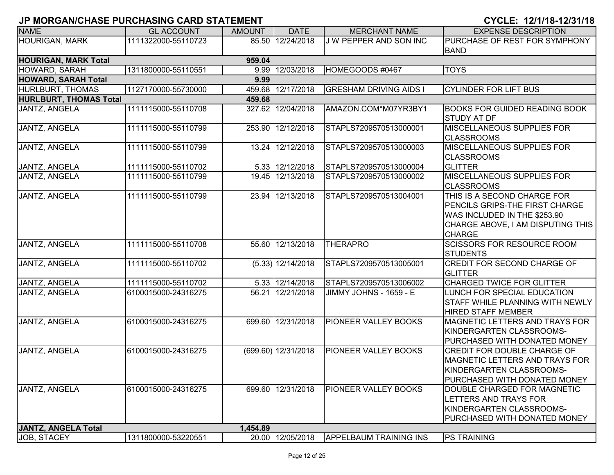| <b>NAME</b>                   | <b>GL ACCOUNT</b>   | <b>AMOUNT</b> | <b>DATE</b>           | <b>MERCHANT NAME</b>          | <b>EXPENSE DESCRIPTION</b>                                                                                                                          |
|-------------------------------|---------------------|---------------|-----------------------|-------------------------------|-----------------------------------------------------------------------------------------------------------------------------------------------------|
| <b>HOURIGAN, MARK</b>         | 1111322000-55110723 |               | 85.50 12/24/2018      | J W PEPPER AND SON INC        | PURCHASE OF REST FOR SYMPHONY                                                                                                                       |
|                               |                     |               |                       |                               | <b>BAND</b>                                                                                                                                         |
| <b>HOURIGAN, MARK Total</b>   |                     | 959.04        |                       |                               |                                                                                                                                                     |
| HOWARD, SARAH                 | 1311800000-55110551 |               | 9.99 12/03/2018       | HOMEGOODS #0467               | <b>TOYS</b>                                                                                                                                         |
| <b>HOWARD, SARAH Total</b>    |                     | 9.99          |                       |                               |                                                                                                                                                     |
| HURLBURT, THOMAS              | 1127170000-55730000 |               | 459.68 12/17/2018     | <b>GRESHAM DRIVING AIDS I</b> | <b>CYLINDER FOR LIFT BUS</b>                                                                                                                        |
| <b>HURLBURT, THOMAS Total</b> |                     | 459.68        |                       |                               |                                                                                                                                                     |
| JANTZ, ANGELA                 | 1111115000-55110708 |               | 327.62 12/04/2018     | AMAZON.COM*M07YR3BY1          | <b>BOOKS FOR GUIDED READING BOOK</b><br><b>STUDY AT DF</b>                                                                                          |
| JANTZ, ANGELA                 | 1111115000-55110799 |               | 253.90 12/12/2018     | STAPLS7209570513000001        | <b>MISCELLANEOUS SUPPLIES FOR</b><br><b>CLASSROOMS</b>                                                                                              |
| JANTZ, ANGELA                 | 1111115000-55110799 |               | 13.24 12/12/2018      | STAPLS7209570513000003        | <b>MISCELLANEOUS SUPPLIES FOR</b><br><b>CLASSROOMS</b>                                                                                              |
| JANTZ, ANGELA                 | 1111115000-55110702 |               | 5.33 12/12/2018       | STAPLS7209570513000004        | <b>GLITTER</b>                                                                                                                                      |
| JANTZ, ANGELA                 | 1111115000-55110799 |               | 19.45 12/13/2018      | STAPLS7209570513000002        | <b>MISCELLANEOUS SUPPLIES FOR</b><br><b>CLASSROOMS</b>                                                                                              |
| JANTZ, ANGELA                 | 1111115000-55110799 |               | 23.94 12/13/2018      | STAPLS7209570513004001        | THIS IS A SECOND CHARGE FOR<br>PENCILS GRIPS-THE FIRST CHARGE<br>WAS INCLUDED IN THE \$253.90<br>CHARGE ABOVE, I AM DISPUTING THIS<br><b>CHARGE</b> |
| JANTZ, ANGELA                 | 1111115000-55110708 |               | 55.60 12/13/2018      | <b>THERAPRO</b>               | <b>SCISSORS FOR RESOURCE ROOM</b><br><b>STUDENTS</b>                                                                                                |
| JANTZ, ANGELA                 | 1111115000-55110702 |               | $(5.33)$ 12/14/2018   | STAPLS7209570513005001        | CREDIT FOR SECOND CHARGE OF<br><b>GLITTER</b>                                                                                                       |
| JANTZ, ANGELA                 | 1111115000-55110702 |               | 5.33 12/14/2018       | STAPLS7209570513006002        | <b>CHARGED TWICE FOR GLITTER</b>                                                                                                                    |
| JANTZ, ANGELA                 | 6100015000-24316275 |               | 56.21 12/21/2018      | JIMMY JOHNS - 1659 - E        | LUNCH FOR SPECIAL EDUCATION<br><b>STAFF WHILE PLANNING WITH NEWLY</b><br><b>HIRED STAFF MEMBER</b>                                                  |
| JANTZ, ANGELA                 | 6100015000-24316275 |               | 699.60 12/31/2018     | PIONEER VALLEY BOOKS          | MAGNETIC LETTERS AND TRAYS FOR<br>KINDERGARTEN CLASSROOMS-<br>PURCHASED WITH DONATED MONEY                                                          |
| JANTZ, ANGELA                 | 6100015000-24316275 |               | $(699.60)$ 12/31/2018 | <b>PIONEER VALLEY BOOKS</b>   | <b>CREDIT FOR DOUBLE CHARGE OF</b><br><b>MAGNETIC LETTERS AND TRAYS FOR</b><br>KINDERGARTEN CLASSROOMS-<br><b>PURCHASED WITH DONATED MONEY</b>      |
| JANTZ, ANGELA                 | 6100015000-24316275 |               | 699.60 12/31/2018     | <b>PIONEER VALLEY BOOKS</b>   | DOUBLE CHARGED FOR MAGNETIC<br><b>LETTERS AND TRAYS FOR</b><br>KINDERGARTEN CLASSROOMS-<br>PURCHASED WITH DONATED MONEY                             |
| JANTZ, ANGELA Total           |                     | 1,454.89      |                       |                               |                                                                                                                                                     |
| JOB, STACEY                   | 1311800000-53220551 |               | 20.00 12/05/2018      | <b>APPELBAUM TRAINING INS</b> | <b>PS TRAINING</b>                                                                                                                                  |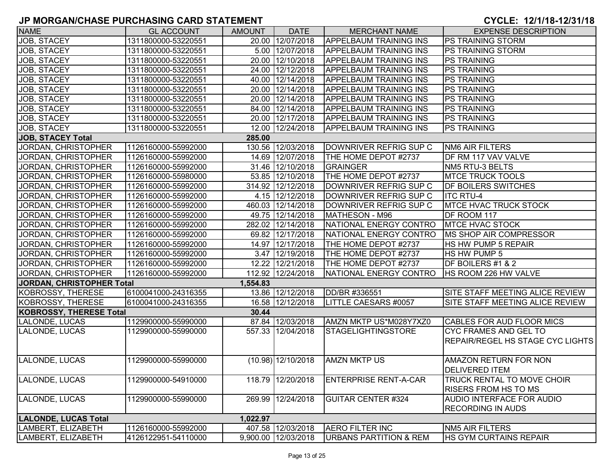| <b>NAME</b>                      | <b>GL ACCOUNT</b>   | <b>AMOUNT</b> | <b>DATE</b>          | <b>MERCHANT NAME</b>          | <b>EXPENSE DESCRIPTION</b>              |
|----------------------------------|---------------------|---------------|----------------------|-------------------------------|-----------------------------------------|
| JOB, STACEY                      | 1311800000-53220551 |               | 20.00 12/07/2018     | <b>APPELBAUM TRAINING INS</b> | <b>PS TRAINING STORM</b>                |
| JOB, STACEY                      | 1311800000-53220551 |               | 5.00 12/07/2018      | <b>APPELBAUM TRAINING INS</b> | <b>PS TRAINING STORM</b>                |
| JOB, STACEY                      | 1311800000-53220551 |               | 20.00 12/10/2018     | <b>APPELBAUM TRAINING INS</b> | <b>PS TRAINING</b>                      |
| JOB, STACEY                      | 1311800000-53220551 |               | 24.00 12/12/2018     | <b>APPELBAUM TRAINING INS</b> | <b>PS TRAINING</b>                      |
| JOB, STACEY                      | 1311800000-53220551 |               | 40.00 12/14/2018     | <b>APPELBAUM TRAINING INS</b> | <b>PS TRAINING</b>                      |
| JOB, STACEY                      | 1311800000-53220551 |               | 20.00 12/14/2018     | <b>APPELBAUM TRAINING INS</b> | <b>PS TRAINING</b>                      |
| JOB, STACEY                      | 1311800000-53220551 |               | 20.00 12/14/2018     | <b>APPELBAUM TRAINING INS</b> | <b>PS TRAINING</b>                      |
| JOB, STACEY                      | 1311800000-53220551 |               | 84.00 12/14/2018     | <b>APPELBAUM TRAINING INS</b> | <b>PS TRAINING</b>                      |
| JOB, STACEY                      | 1311800000-53220551 |               | 20.00 12/17/2018     | <b>APPELBAUM TRAINING INS</b> | <b>PS TRAINING</b>                      |
| JOB, STACEY                      | 1311800000-53220551 |               | 12.00 12/24/2018     | <b>APPELBAUM TRAINING INS</b> | <b>PS TRAINING</b>                      |
| <b>JOB, STACEY Total</b>         |                     | 285.00        |                      |                               |                                         |
| JORDAN, CHRISTOPHER              | 1126160000-55992000 |               | 130.56 12/03/2018    | DOWNRIVER REFRIG SUP C        | <b>NM6 AIR FILTERS</b>                  |
| JORDAN, CHRISTOPHER              | 1126160000-55992000 |               | 14.69 12/07/2018     | THE HOME DEPOT #2737          | DF RM 117 VAV VALVE                     |
| JORDAN, CHRISTOPHER              | 1126160000-55992000 |               | 31.46 12/10/2018     | <b>GRAINGER</b>               | NM5 RTU-3 BELTS                         |
| JORDAN, CHRISTOPHER              | 1126160000-55980000 |               | 53.85 12/10/2018     | THE HOME DEPOT #2737          | <b>MTCE TRUCK TOOLS</b>                 |
| JORDAN, CHRISTOPHER              | 1126160000-55992000 |               | 314.92 12/12/2018    | DOWNRIVER REFRIG SUP C        | <b>DF BOILERS SWITCHES</b>              |
| JORDAN, CHRISTOPHER              | 1126160000-55992000 |               | 4.15 12/12/2018      | DOWNRIVER REFRIG SUP C        | <b>ITC RTU-4</b>                        |
| JORDAN, CHRISTOPHER              | 1126160000-55992000 |               | 460.03 12/14/2018    | DOWNRIVER REFRIG SUP C        | <b>MTCE HVAC TRUCK STOCK</b>            |
| JORDAN, CHRISTOPHER              | 1126160000-55992000 |               | 49.75 12/14/2018     | MATHESON - M96                | DF ROOM 117                             |
| JORDAN, CHRISTOPHER              | 1126160000-55992000 |               | 282.02 12/14/2018    | NATIONAL ENERGY CONTRO        | <b>MTCE HVAC STOCK</b>                  |
| JORDAN, CHRISTOPHER              | 1126160000-55992000 |               | 69.82 12/17/2018     | NATIONAL ENERGY CONTRO        | <b>IMS SHOP AIR COMPRESSOR</b>          |
| JORDAN, CHRISTOPHER              | 1126160000-55992000 |               | 14.97 12/17/2018     | THE HOME DEPOT #2737          | <b>HS HW PUMP 5 REPAIR</b>              |
| <b>JORDAN, CHRISTOPHER</b>       | 1126160000-55992000 |               | 3.47 12/19/2018      | THE HOME DEPOT #2737          | HS HW PUMP 5                            |
| JORDAN, CHRISTOPHER              | 1126160000-55992000 |               | 12.22 12/21/2018     | THE HOME DEPOT #2737          | DF BOILERS #1 & 2                       |
| JORDAN, CHRISTOPHER              | 1126160000-55992000 | 112.92        | 12/24/2018           | NATIONAL ENERGY CONTRO        | HS ROOM 226 HW VALVE                    |
| <b>JORDAN, CHRISTOPHER Total</b> |                     | 1,554.83      |                      |                               |                                         |
| <b>KOBROSSY, THERESE</b>         | 6100041000-24316355 |               | 13.86 12/12/2018     | DD/BR #336551                 | SITE STAFF MEETING ALICE REVIEW         |
| <b>KOBROSSY, THERESE</b>         | 6100041000-24316355 |               | 16.58 12/12/2018     | LITTLE CAESARS #0057          | SITE STAFF MEETING ALICE REVIEW         |
| <b>KOBROSSY, THERESE Total</b>   |                     | 30.44         |                      |                               |                                         |
| LALONDE, LUCAS                   | 1129900000-55990000 |               | 87.84 12/03/2018     | AMZN MKTP US*M028Y7XZ0        | CABLES FOR AUD FLOOR MICS               |
| LALONDE, LUCAS                   | 1129900000-55990000 |               | 557.33 12/04/2018    | <b>STAGELIGHTINGSTORE</b>     | CYC FRAMES AND GEL TO                   |
|                                  |                     |               |                      |                               | <b>REPAIR/REGEL HS STAGE CYC LIGHTS</b> |
|                                  |                     |               |                      |                               |                                         |
| LALONDE, LUCAS                   | 1129900000-55990000 |               | $(10.98)$ 12/10/2018 | <b>AMZN MKTP US</b>           | AMAZON RETURN FOR NON                   |
|                                  |                     |               |                      |                               | <b>DELIVERED ITEM</b>                   |
| LALONDE, LUCAS                   | 1129900000-54910000 |               | 118.79 12/20/2018    | <b>ENTERPRISE RENT-A-CAR</b>  | <b>TRUCK RENTAL TO MOVE CHOIR</b>       |
|                                  |                     |               |                      |                               | <b>RISERS FROM HS TO MS</b>             |
| LALONDE, LUCAS                   | 1129900000-55990000 |               | 269.99 12/24/2018    | <b>GUITAR CENTER #324</b>     | AUDIO INTERFACE FOR AUDIO               |
|                                  |                     |               |                      |                               | <b>RECORDING IN AUDS</b>                |
| <b>LALONDE, LUCAS Total</b>      |                     | 1,022.97      |                      |                               |                                         |
| LAMBERT, ELIZABETH               | 1126160000-55992000 |               | 407.58 12/03/2018    | <b>AERO FILTER INC</b>        | <b>NM5 AIR FILTERS</b>                  |
| LAMBERT, ELIZABETH               | 4126122951-54110000 | 9,900.00      | 12/03/2018           | URBANS PARTITION & REM        | HS GYM CURTAINS REPAIR                  |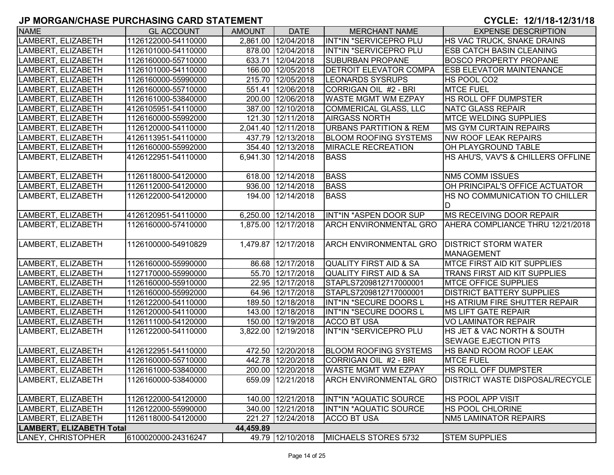| <b>NAME</b>                     | <b>GL ACCOUNT</b>   | <b>AMOUNT</b> | <b>DATE</b>         | <b>MERCHANT NAME</b>              | <b>EXPENSE DESCRIPTION</b>              |
|---------------------------------|---------------------|---------------|---------------------|-----------------------------------|-----------------------------------------|
| LAMBERT, ELIZABETH              | 1126122000-54110000 |               | 2,861.00 12/04/2018 | INT*IN *SERVICEPRO PLU            | HS VAC TRUCK, SNAKE DRAINS              |
| LAMBERT, ELIZABETH              | 1126101000-54110000 |               | 878.00 12/04/2018   | INT*IN *SERVICEPRO PLU            | <b>ESB CATCH BASIN CLEANING</b>         |
| LAMBERT, ELIZABETH              | 1126160000-55710000 |               | 633.71 12/04/2018   | <b>SUBURBAN PROPANE</b>           | <b>BOSCO PROPERTY PROPANE</b>           |
| LAMBERT, ELIZABETH              | 1126101000-54110000 |               | 166.00 12/05/2018   | <b>DETROIT ELEVATOR COMPA</b>     | <b>ESB ELEVATOR MAINTENANCE</b>         |
| LAMBERT, ELIZABETH              | 1126160000-55990000 |               | 215.70 12/05/2018   | <b>LEONARDS SYSRUPS</b>           | HS POOL CO2                             |
| LAMBERT, ELIZABETH              | 1126160000-55710000 |               | 551.41 12/06/2018   | CORRIGAN OIL #2 - BRI             | <b>MTCE FUEL</b>                        |
| LAMBERT, ELIZABETH              | 1126161000-53840000 |               | 200.00 12/06/2018   | <b>WASTE MGMT WM EZPAY</b>        | HS ROLL OFF DUMPSTER                    |
| LAMBERT, ELIZABETH              | 4126105951-54110000 |               | 387.00 12/10/2018   | COMMERICAL GLASS, LLC             | NATC GLASS REPAIR                       |
| LAMBERT, ELIZABETH              | 1126160000-55992000 |               | 121.30 12/11/2018   | <b>AIRGASS NORTH</b>              | <b>MTCE WELDING SUPPLIES</b>            |
| LAMBERT, ELIZABETH              | 1126120000-54110000 |               | 2,041.40 12/11/2018 | <b>URBANS PARTITION &amp; REM</b> | <b>IMS GYM CURTAIN REPAIRS</b>          |
| LAMBERT, ELIZABETH              | 4126113951-54110000 |               | 437.79 12/13/2018   | <b>BLOOM ROOFING SYSTEMS</b>      | <b>NW ROOF LEAK REPAIRS</b>             |
| LAMBERT, ELIZABETH              | 1126160000-55992000 |               | 354.40 12/13/2018   | <b>MIRACLE RECREATION</b>         | OH PLAYGROUND TABLE                     |
| LAMBERT, ELIZABETH              | 4126122951-54110000 |               | 6,941.30 12/14/2018 | <b>BASS</b>                       | HS AHU'S, VAV'S & CHILLERS OFFLINE      |
| LAMBERT, ELIZABETH              | 1126118000-54120000 |               | 618.00 12/14/2018   | <b>BASS</b>                       | <b>NM5 COMM ISSUES</b>                  |
| LAMBERT, ELIZABETH              | 1126112000-54120000 |               | 936.00 12/14/2018   | <b>BASS</b>                       | OH PRINCIPAL'S OFFICE ACTUATOR          |
| LAMBERT, ELIZABETH              | 1126122000-54120000 |               | 194.00 12/14/2018   | <b>BASS</b>                       | HS NO COMMUNICATION TO CHILLER          |
|                                 |                     |               |                     |                                   | D                                       |
| LAMBERT, ELIZABETH              | 4126120951-54110000 |               | 6,250.00 12/14/2018 | INT*IN *ASPEN DOOR SUP            | <b>MS RECEIVING DOOR REPAIR</b>         |
| LAMBERT, ELIZABETH              | 1126160000-57410000 |               | 1,875.00 12/17/2018 | <b>ARCH ENVIRONMENTAL GRO</b>     | AHERA COMPLIANCE THRU 12/21/2018        |
|                                 |                     |               |                     |                                   |                                         |
| LAMBERT, ELIZABETH              | 1126100000-54910829 |               | 1,479.87 12/17/2018 | <b>ARCH ENVIRONMENTAL GRO</b>     | <b>DISTRICT STORM WATER</b>             |
|                                 |                     |               |                     |                                   | MANAGEMENT                              |
| LAMBERT, ELIZABETH              | 1126160000-55990000 |               | 86.68 12/17/2018    | QUALITY FIRST AID & SA            | <b>MTCE FIRST AID KIT SUPPLIES</b>      |
| LAMBERT, ELIZABETH              | 1127170000-55990000 |               | 55.70 12/17/2018    | QUALITY FIRST AID & SA            | TRANS FIRST AID KIT SUPPLIES            |
| LAMBERT, ELIZABETH              | 1126160000-55910000 |               | 22.95 12/17/2018    | STAPLS7209812717000001            | <b>MTCE OFFICE SUPPLIES</b>             |
| LAMBERT, ELIZABETH              | 1126160000-55992000 |               | 64.96 12/17/2018    | STAPLS7209812717000001            | <b>DISTRICT BATTERY SUPPLIES</b>        |
| LAMBERT, ELIZABETH              | 1126122000-54110000 |               | 189.50 12/18/2018   | <b>INT*IN *SECURE DOORS L</b>     | HS ATRIUM FIRE SHUTTER REPAIR           |
| LAMBERT, ELIZABETH              | 1126120000-54110000 |               | 143.00 12/18/2018   | INT*IN *SECURE DOORS L            | <b>MS LIFT GATE REPAIR</b>              |
| LAMBERT, ELIZABETH              | 1126111000-54120000 |               | 150.00 12/19/2018   | <b>ACCO BT USA</b>                | <b>VO LAMINATOR REPAIR</b>              |
| LAMBERT, ELIZABETH              | 1126122000-54110000 |               | 3,822.00 12/19/2018 | INT*IN *SERVICEPRO PLU            | HS JET & VAC NORTH & SOUTH              |
|                                 |                     |               |                     |                                   | <b>SEWAGE EJECTION PITS</b>             |
| LAMBERT, ELIZABETH              | 4126122951-54110000 |               | 472.50 12/20/2018   | <b>BLOOM ROOFING SYSTEMS</b>      | <b>HS BAND ROOM ROOF LEAK</b>           |
| LAMBERT, ELIZABETH              | 1126160000-55710000 |               | 442.78 12/20/2018   | CORRIGAN OIL #2 - BRI             | <b>MTCE FUEL</b>                        |
| LAMBERT, ELIZABETH              | 1126161000-53840000 |               | 200.00 12/20/2018   | <b>WASTE MGMT WM EZPAY</b>        | <b>IHS ROLL OFF DUMPSTER</b>            |
| LAMBERT, ELIZABETH              | 1126160000-53840000 |               | 659.09 12/21/2018   | <b>ARCH ENVIRONMENTAL GRO</b>     | <b>IDISTRICT WASTE DISPOSAL/RECYCLE</b> |
| LAMBERT, ELIZABETH              | 1126122000-54120000 |               | 140.00 12/21/2018   | INT*IN *AQUATIC SOURCE            | <b>HS POOL APP VISIT</b>                |
| LAMBERT, ELIZABETH              | 1126122000-55990000 |               | 340.00 12/21/2018   | INT*IN *AQUATIC SOURCE            | <b>HS POOL CHLORINE</b>                 |
| LAMBERT, ELIZABETH              | 1126118000-54120000 |               | 221.27 12/24/2018   | <b>ACCO BT USA</b>                | NM5 LAMINATOR REPAIRS                   |
| <b>LAMBERT, ELIZABETH Total</b> |                     | 44,459.89     |                     |                                   |                                         |
| LANEY, CHRISTOPHER              | 6100020000-24316247 |               | 49.79 12/10/2018    | MICHAELS STORES 5732              | <b>STEM SUPPLIES</b>                    |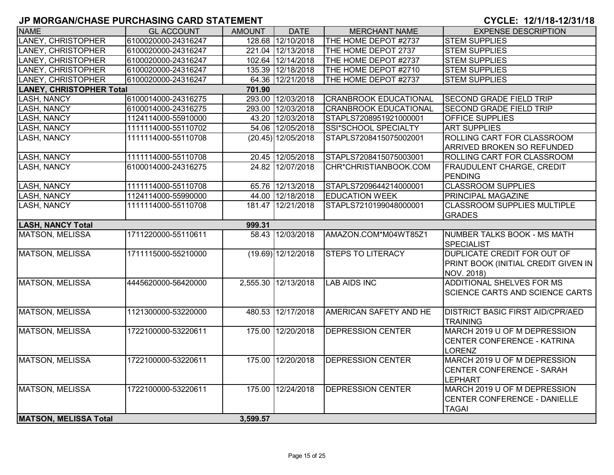| <b>NAME</b>                     | <b>GL ACCOUNT</b>   | <b>AMOUNT</b> | <b>DATE</b>          | <b>MERCHANT NAME</b>         | <b>EXPENSE DESCRIPTION</b>                                                              |
|---------------------------------|---------------------|---------------|----------------------|------------------------------|-----------------------------------------------------------------------------------------|
| <b>LANEY, CHRISTOPHER</b>       | 6100020000-24316247 |               | 128.68 12/10/2018    | THE HOME DEPOT #2737         | <b>STEM SUPPLIES</b>                                                                    |
| LANEY, CHRISTOPHER              | 6100020000-24316247 |               | 221.04 12/13/2018    | THE HOME DEPOT 2737          | <b>STEM SUPPLIES</b>                                                                    |
| LANEY, CHRISTOPHER              | 6100020000-24316247 |               | 102.64 12/14/2018    | THE HOME DEPOT #2737         | <b>STEM SUPPLIES</b>                                                                    |
| <b>LANEY, CHRISTOPHER</b>       | 6100020000-24316247 |               | 135.39 12/18/2018    | THE HOME DEPOT #2710         | <b>STEM SUPPLIES</b>                                                                    |
| LANEY, CHRISTOPHER              | 6100020000-24316247 |               | 64.36 12/21/2018     | THE HOME DEPOT #2737         | <b>STEM SUPPLIES</b>                                                                    |
| <b>LANEY, CHRISTOPHER Total</b> |                     | 701.90        |                      |                              |                                                                                         |
| <b>LASH, NANCY</b>              | 6100014000-24316275 |               | 293.00 12/03/2018    | <b>CRANBROOK EDUCATIONAL</b> | <b>SECOND GRADE FIELD TRIP</b>                                                          |
| <b>LASH, NANCY</b>              | 6100014000-24316275 |               | 293.00 12/03/2018    | <b>CRANBROOK EDUCATIONAL</b> | <b>SECOND GRADE FIELD TRIP</b>                                                          |
| LASH, NANCY                     | 1124114000-55910000 |               | 43.20 12/03/2018     | STAPLS7208951921000001       | <b>OFFICE SUPPLIES</b>                                                                  |
| LASH, NANCY                     | 1111114000-55110702 |               | 54.06 12/05/2018     | SSI*SCHOOL SPECIALTY         | <b>ART SUPPLIES</b>                                                                     |
| LASH, NANCY                     | 1111114000-55110708 |               | $(20.45)$ 12/05/2018 | STAPLS7208415075002001       | ROLLING CART FOR CLASSROOM                                                              |
|                                 |                     |               |                      |                              | <b>ARRIVED BROKEN SO REFUNDED</b>                                                       |
| <b>LASH, NANCY</b>              | 1111114000-55110708 |               | 20.45 12/05/2018     | STAPLS7208415075003001       | ROLLING CART FOR CLASSROOM                                                              |
| LASH, NANCY                     | 6100014000-24316275 |               | 24.82 12/07/2018     | CHR*CHRISTIANBOOK.COM        | <b>FRAUDULENT CHARGE, CREDIT</b><br>PENDING                                             |
| LASH, NANCY                     | 1111114000-55110708 |               | 65.76 12/13/2018     | STAPLS7209644214000001       | <b>CLASSROOM SUPPLIES</b>                                                               |
| <b>LASH, NANCY</b>              | 1124114000-55990000 |               | 44.00 12/18/2018     | <b>EDUCATION WEEK</b>        | <b>PRINCIPAL MAGAZINE</b>                                                               |
| <b>LASH, NANCY</b>              | 1111114000-55110708 |               | 181.47 12/21/2018    | STAPLS7210199048000001       | <b>CLASSROOM SUPPLIES MULTIPLE</b><br><b>GRADES</b>                                     |
| <b>LASH, NANCY Total</b>        |                     | 999.31        |                      |                              |                                                                                         |
| <b>MATSON, MELISSA</b>          | 1711220000-55110611 |               | 58.43 12/03/2018     | AMAZON.COM*M04WT85Z1         | NUMBER TALKS BOOK - MS MATH<br><b>SPECIALIST</b>                                        |
| <b>MATSON, MELISSA</b>          | 1711115000-55210000 |               | $(19.69)$ 12/12/2018 | <b>STEPS TO LITERACY</b>     | <b>DUPLICATE CREDIT FOR OUT OF</b><br>PRINT BOOK (INITIAL CREDIT GIVEN IN<br>NOV. 2018) |
| <b>MATSON, MELISSA</b>          | 4445620000-56420000 |               | 2,555.30 12/13/2018  | <b>LAB AIDS INC</b>          | <b>ADDITIONAL SHELVES FOR MS</b><br><b>SCIENCE CARTS AND SCIENCE CARTS</b>              |
| <b>MATSON, MELISSA</b>          | 1121300000-53220000 |               | 480.53 12/17/2018    | AMERICAN SAFETY AND HE       | <b>DISTRICT BASIC FIRST AID/CPR/AED</b><br><b>TRAINING</b>                              |
| <b>MATSON, MELISSA</b>          | 1722100000-53220611 |               | 175.00 12/20/2018    | <b>DEPRESSION CENTER</b>     | MARCH 2019 U OF M DEPRESSION<br><b>CENTER CONFERENCE - KATRINA</b><br><b>LORENZ</b>     |
| <b>MATSON, MELISSA</b>          | 1722100000-53220611 |               | 175.00 12/20/2018    | <b>DEPRESSION CENTER</b>     | MARCH 2019 U OF M DEPRESSION<br><b>CENTER CONFERENCE - SARAH</b><br><b>LEPHART</b>      |
| <b>MATSON, MELISSA</b>          | 1722100000-53220611 |               | 175.00 12/24/2018    | <b>DEPRESSION CENTER</b>     | MARCH 2019 U OF M DEPRESSION<br>CENTER CONFERENCE - DANIELLE<br><b>TAGAI</b>            |
| <b>MATSON, MELISSA Total</b>    |                     | 3,599.57      |                      |                              |                                                                                         |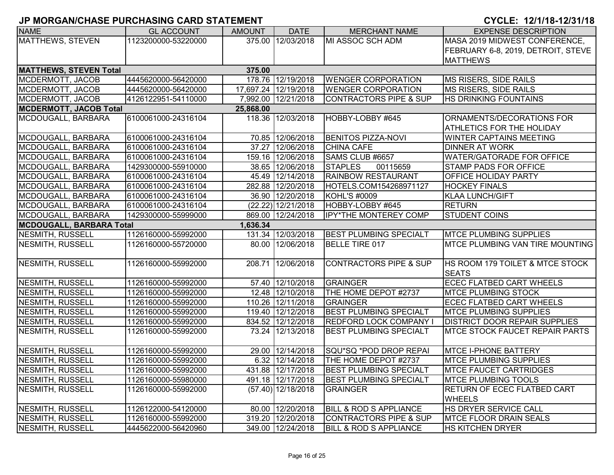| <b>NAME</b>                     | <b>GL ACCOUNT</b>   | <b>AMOUNT</b> | <b>DATE</b>          | <b>MERCHANT NAME</b>              | <b>EXPENSE DESCRIPTION</b>             |
|---------------------------------|---------------------|---------------|----------------------|-----------------------------------|----------------------------------------|
| MATTHEWS, STEVEN                | 1123200000-53220000 |               | 375.00 12/03/2018    | MI ASSOC SCH ADM                  | MASA 2019 MIDWEST CONFERENCE,          |
|                                 |                     |               |                      |                                   | FEBRUARY 6-8, 2019, DETROIT, STEVE     |
|                                 |                     |               |                      |                                   | <b>MATTHEWS</b>                        |
| <b>MATTHEWS, STEVEN Total</b>   |                     | 375.00        |                      |                                   |                                        |
| MCDERMOTT, JACOB                | 4445620000-56420000 |               | 178.76 12/19/2018    | <b>WENGER CORPORATION</b>         | MS RISERS, SIDE RAILS                  |
| MCDERMOTT, JACOB                | 4445620000-56420000 |               | 17,697.24 12/19/2018 | <b>WENGER CORPORATION</b>         | MS RISERS, SIDE RAILS                  |
| MCDERMOTT, JACOB                | 4126122951-54110000 |               | 7,992.00 12/21/2018  | <b>CONTRACTORS PIPE &amp; SUP</b> | <b>HS DRINKING FOUNTAINS</b>           |
| <b>MCDERMOTT, JACOB Total</b>   |                     | 25,868.00     |                      |                                   |                                        |
| MCDOUGALL, BARBARA              | 6100061000-24316104 | 118.36        | 12/03/2018           | HOBBY-LOBBY #645                  | ORNAMENTS/DECORATIONS FOR              |
|                                 |                     |               |                      |                                   | ATHLETICS FOR THE HOLIDAY              |
| MCDOUGALL, BARBARA              | 6100061000-24316104 |               | 70.85 12/06/2018     | <b>BENITOS PIZZA-NOVI</b>         | <b>WINTER CAPTAINS MEETING</b>         |
| MCDOUGALL, BARBARA              | 6100061000-24316104 |               | 37.27 12/06/2018     | <b>CHINA CAFE</b>                 | <b>DINNER AT WORK</b>                  |
| MCDOUGALL, BARBARA              | 6100061000-24316104 |               | 159.16 12/06/2018    | SAMS CLUB #6657                   | <b>WATER/GATORADE FOR OFFICE</b>       |
| MCDOUGALL, BARBARA              | 1429300000-55910000 |               | 38.65 12/06/2018     | <b>STAPLES</b><br>00115659        | STAMP PADS FOR OFFICE                  |
| MCDOUGALL, BARBARA              | 6100061000-24316104 |               | 45.49 12/14/2018     | <b>RAINBOW RESTAURANT</b>         | OFFICE HOLIDAY PARTY                   |
| MCDOUGALL, BARBARA              | 6100061000-24316104 |               | 282.88 12/20/2018    | HOTELS.COM154268971127            | <b>HOCKEY FINALS</b>                   |
| MCDOUGALL, BARBARA              | 6100061000-24316104 |               | 36.90 12/20/2018     | <b>KOHL'S #0009</b>               | <b>KLAA LUNCH/GIFT</b>                 |
| MCDOUGALL, BARBARA              | 6100061000-24316104 |               | $(22.22)$ 12/21/2018 | HOBBY-LOBBY #645                  | <b>RETURN</b>                          |
| MCDOUGALL, BARBARA              | 1429300000-55999000 |               | 869.00 12/24/2018    | <b>IPY*THE MONTEREY COMP</b>      | <b>STUDENT COINS</b>                   |
| <b>MCDOUGALL, BARBARA Total</b> |                     | 1,636.34      |                      |                                   |                                        |
| <b>NESMITH, RUSSELL</b>         | 1126160000-55992000 |               | 131.34 12/03/2018    | <b>BEST PLUMBING SPECIALT</b>     | <b>MTCE PLUMBING SUPPLIES</b>          |
| NESMITH, RUSSELL                | 1126160000-55720000 |               | 80.00 12/06/2018     | <b>BELLE TIRE 017</b>             | <b>MTCE PLUMBING VAN TIRE MOUNTING</b> |
|                                 |                     |               |                      |                                   |                                        |
| NESMITH, RUSSELL                | 1126160000-55992000 |               | 208.71 12/06/2018    | <b>CONTRACTORS PIPE &amp; SUP</b> | HS ROOM 179 TOILET & MTCE STOCK        |
|                                 |                     |               |                      |                                   | <b>SEATS</b>                           |
| NESMITH, RUSSELL                | 1126160000-55992000 |               | 57.40 12/10/2018     | <b>GRAINGER</b>                   | <b>ECEC FLATBED CART WHEELS</b>        |
| NESMITH, RUSSELL                | 1126160000-55992000 |               | 12.48 12/10/2018     | THE HOME DEPOT #2737              | <b>MTCE PLUMBING STOCK</b>             |
| NESMITH, RUSSELL                | 1126160000-55992000 |               | 110.26 12/11/2018    | <b>GRAINGER</b>                   | <b>ECEC FLATBED CART WHEELS</b>        |
| NESMITH, RUSSELL                | 1126160000-55992000 |               | 119.40 12/12/2018    | <b>BEST PLUMBING SPECIALT</b>     | <b>MTCE PLUMBING SUPPLIES</b>          |
| <b>NESMITH, RUSSELL</b>         | 1126160000-55992000 |               | 834.52 12/12/2018    | <b>REDFORD LOCK COMPANY I</b>     | <b>DISTRICT DOOR REPAIR SUPPLIES</b>   |
| NESMITH, RUSSELL                | 1126160000-55992000 |               | 73.24 12/13/2018     | <b>BEST PLUMBING SPECIALT</b>     | MTCE STOCK FAUCET REPAIR PARTS         |
|                                 |                     |               |                      |                                   |                                        |
| <b>NESMITH, RUSSELL</b>         | 1126160000-55992000 |               | 29.00 12/14/2018     | SQU*SQ *POD DROP REPAI            | <b>MTCE I-PHONE BATTERY</b>            |
| NESMITH, RUSSELL                | 1126160000-55992000 |               | 6.32 12/14/2018      | THE HOME DEPOT #2737              | <b>MTCE PLUMBING SUPPLIES</b>          |
| NESMITH, RUSSELL                | 1126160000-55992000 |               | 431.88 12/17/2018    | <b>BEST PLUMBING SPECIALT</b>     | <b>MTCE FAUCET CARTRIDGES</b>          |
| NESMITH, RUSSELL                | 1126160000-55980000 |               | 491.18 12/17/2018    | <b>BEST PLUMBING SPECIALT</b>     | <b>MTCE PLUMBING TOOLS</b>             |
| NESMITH, RUSSELL                | 1126160000-55992000 |               | $(57.40)$ 12/18/2018 | <b>GRAINGER</b>                   | <b>RETURN OF ECEC FLATBED CART</b>     |
|                                 |                     |               |                      |                                   | <b>WHEELS</b>                          |
| NESMITH, RUSSELL                | 1126122000-54120000 |               | 80.00 12/20/2018     | <b>BILL &amp; ROD S APPLIANCE</b> | HS DRYER SERVICE CALL                  |
| NESMITH, RUSSELL                | 1126160000-55992000 |               | 319.20 12/20/2018    | <b>CONTRACTORS PIPE &amp; SUP</b> | <b>MTCE FLOOR DRAIN SEALS</b>          |
| NESMITH, RUSSELL                | 4445622000-56420960 |               | 349.00 12/24/2018    | <b>BILL &amp; ROD S APPLIANCE</b> | <b>HS KITCHEN DRYER</b>                |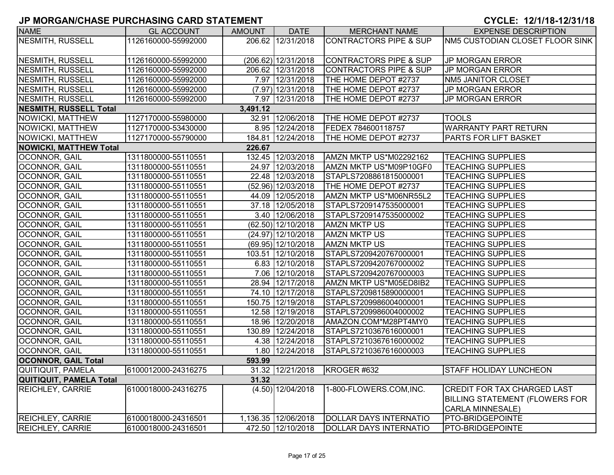| <b>NAME</b>                   | <b>GL ACCOUNT</b>   | <b>AMOUNT</b> | <b>DATE</b>            | <b>MERCHANT NAME</b>              | <b>EXPENSE DESCRIPTION</b>             |
|-------------------------------|---------------------|---------------|------------------------|-----------------------------------|----------------------------------------|
| <b>NESMITH, RUSSELL</b>       | 1126160000-55992000 |               | 206.62 12/31/2018      | <b>CONTRACTORS PIPE &amp; SUP</b> | <b>NM5 CUSTODIAN CLOSET FLOOR SINK</b> |
|                               |                     |               |                        |                                   |                                        |
| NESMITH, RUSSELL              | 1126160000-55992000 |               | $(206.62)$ 12/31/2018  | <b>CONTRACTORS PIPE &amp; SUP</b> | <b>JP MORGAN ERROR</b>                 |
| NESMITH, RUSSELL              | 1126160000-55992000 |               | 206.62 12/31/2018      | <b>CONTRACTORS PIPE &amp; SUP</b> | <b>JP MORGAN ERROR</b>                 |
| <b>NESMITH, RUSSELL</b>       | 1126160000-55992000 |               | 7.97 12/31/2018        | THE HOME DEPOT #2737              | NM5 JANITOR CLOSET                     |
| NESMITH, RUSSELL              | 1126160000-55992000 |               | $(7.97)$ 12/31/2018    | THE HOME DEPOT #2737              | <b>JP MORGAN ERROR</b>                 |
| NESMITH, RUSSELL              | 1126160000-55992000 |               | 7.97 12/31/2018        | THE HOME DEPOT #2737              | <b>JP MORGAN ERROR</b>                 |
| <b>NESMITH, RUSSELL Total</b> |                     | 3,491.12      |                        |                                   |                                        |
| NOWICKI, MATTHEW              | 1127170000-55980000 |               | 32.91 12/06/2018       | THE HOME DEPOT #2737              | <b>TOOLS</b>                           |
| NOWICKI, MATTHEW              | 1127170000-53430000 |               | 8.95 12/24/2018        | FEDEX 784600118757                | <b>WARRANTY PART RETURN</b>            |
| NOWICKI, MATTHEW              | 1127170000-55790000 |               | 184.81 12/24/2018      | THE HOME DEPOT #2737              | PARTS FOR LIFT BASKET                  |
| <b>NOWICKI, MATTHEW Total</b> |                     | 226.67        |                        |                                   |                                        |
| <b>OCONNOR, GAIL</b>          | 1311800000-55110551 |               | 132.45 12/03/2018      | AMZN MKTP US*M02292162            | <b>TEACHING SUPPLIES</b>               |
| OCONNOR, GAIL                 | 1311800000-55110551 |               | 24.97 12/03/2018       | AMZN MKTP US*M09P10GF0            | <b>TEACHING SUPPLIES</b>               |
| OCONNOR, GAIL                 | 1311800000-55110551 |               | 22.48 12/03/2018       | STAPLS7208861815000001            | <b>TEACHING SUPPLIES</b>               |
| OCONNOR, GAIL                 | 1311800000-55110551 |               | $(52.96)$ 12/03/2018   | THE HOME DEPOT #2737              | <b>TEACHING SUPPLIES</b>               |
| OCONNOR, GAIL                 | 1311800000-55110551 |               | 44.09 12/05/2018       | AMZN MKTP US*M06NR55L2            | <b>TEACHING SUPPLIES</b>               |
| OCONNOR, GAIL                 | 1311800000-55110551 |               | 37.18 12/05/2018       | STAPLS7209147535000001            | <b>TEACHING SUPPLIES</b>               |
| OCONNOR, GAIL                 | 1311800000-55110551 |               | 3.40 12/06/2018        | STAPLS7209147535000002            | <b>TEACHING SUPPLIES</b>               |
| <b>OCONNOR, GAIL</b>          | 1311800000-55110551 |               | $(62.50)$ 12/10/2018   | <b>AMZN MKTP US</b>               | <b>TEACHING SUPPLIES</b>               |
| <b>OCONNOR, GAIL</b>          | 1311800000-55110551 |               | $(24.97)$ 12/10/2018   | <b>AMZN MKTP US</b>               | <b>TEACHING SUPPLIES</b>               |
| OCONNOR, GAIL                 | 1311800000-55110551 |               | $(69.95)$   12/10/2018 | <b>AMZN MKTP US</b>               | <b>TEACHING SUPPLIES</b>               |
| OCONNOR, GAIL                 | 1311800000-55110551 |               | 103.51 12/10/2018      | STAPLS7209420767000001            | <b>TEACHING SUPPLIES</b>               |
| OCONNOR, GAIL                 | 1311800000-55110551 |               | 6.83 12/10/2018        | STAPLS7209420767000002            | <b>TEACHING SUPPLIES</b>               |
| OCONNOR, GAIL                 | 1311800000-55110551 |               | 7.06 12/10/2018        | STAPLS7209420767000003            | <b>TEACHING SUPPLIES</b>               |
| OCONNOR, GAIL                 | 1311800000-55110551 |               | 28.94 12/17/2018       | AMZN MKTP US*M05ED8IB2            | <b>TEACHING SUPPLIES</b>               |
| OCONNOR, GAIL                 | 1311800000-55110551 |               | 74.10 12/17/2018       | STAPLS7209815890000001            | <b>TEACHING SUPPLIES</b>               |
| OCONNOR, GAIL                 | 1311800000-55110551 |               | 150.75 12/19/2018      | STAPLS7209986004000001            | <b>TEACHING SUPPLIES</b>               |
| OCONNOR, GAIL                 | 1311800000-55110551 |               | 12.58 12/19/2018       | STAPLS7209986004000002            | <b>TEACHING SUPPLIES</b>               |
| OCONNOR, GAIL                 | 1311800000-55110551 |               | 18.96 12/20/2018       | AMAZON.COM*M28PT4MY0              | <b>TEACHING SUPPLIES</b>               |
| OCONNOR, GAIL                 | 1311800000-55110551 |               | 130.89 12/24/2018      | STAPLS7210367616000001            | <b>TEACHING SUPPLIES</b>               |
| OCONNOR, GAIL                 | 1311800000-55110551 |               | 4.38 12/24/2018        | STAPLS7210367616000002            | <b>TEACHING SUPPLIES</b>               |
| OCONNOR, GAIL                 | 1311800000-55110551 |               | 1.80 12/24/2018        | STAPLS7210367616000003            | <b>TEACHING SUPPLIES</b>               |
| <b>OCONNOR, GAIL Total</b>    |                     | 593.99        |                        |                                   |                                        |
| QUITIQUIT, PAMELA             | 6100012000-24316275 |               | 31.32 12/21/2018       | KROGER #632                       | <b>STAFF HOLIDAY LUNCHEON</b>          |
| QUITIQUIT, PAMELA Total       |                     | 31.32         |                        |                                   |                                        |
| <b>REICHLEY, CARRIE</b>       | 6100018000-24316275 |               | $(4.50)$ 12/04/2018    | 1-800-FLOWERS.COM, INC.           | CREDIT FOR TAX CHARGED LAST            |
|                               |                     |               |                        |                                   | <b>BILLING STATEMENT (FLOWERS FOR</b>  |
|                               |                     |               |                        |                                   | CARLA MINNESALE)                       |
| <b>REICHLEY, CARRIE</b>       | 6100018000-24316501 |               | 1,136.35 12/06/2018    | DOLLAR DAYS INTERNATIO            | PTO-BRIDGEPOINTE                       |
| <b>REICHLEY, CARRIE</b>       | 6100018000-24316501 |               | 472.50 12/10/2018      | <b>DOLLAR DAYS INTERNATIO</b>     | <b>PTO-BRIDGEPOINTE</b>                |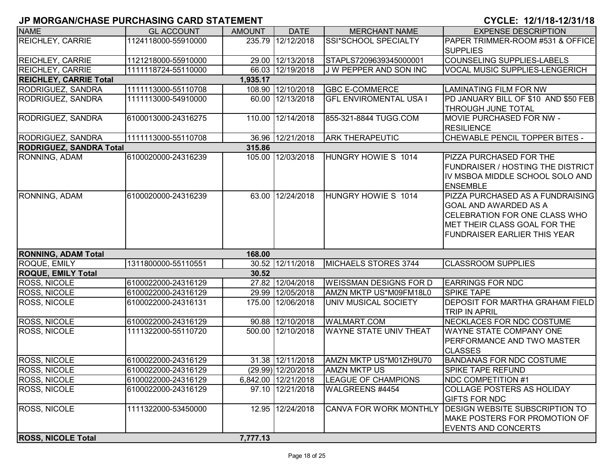| <b>NAME</b>                    | <b>GL ACCOUNT</b>   | <b>AMOUNT</b> | <b>DATE</b>         | <b>MERCHANT NAME</b>          | <b>EXPENSE DESCRIPTION</b>                                                                                                                                                      |
|--------------------------------|---------------------|---------------|---------------------|-------------------------------|---------------------------------------------------------------------------------------------------------------------------------------------------------------------------------|
| <b>REICHLEY, CARRIE</b>        | 1124118000-55910000 |               | 235.79 12/12/2018   | SSI*SCHOOL SPECIALTY          | PAPER TRIMMER-ROOM #531 & OFFICE                                                                                                                                                |
|                                |                     |               |                     |                               | <b>SUPPLIES</b>                                                                                                                                                                 |
| <b>REICHLEY, CARRIE</b>        | 1121218000-55910000 |               | 29.00 12/13/2018    | STAPLS7209639345000001        | COUNSELING SUPPLIES-LABELS                                                                                                                                                      |
| <b>REICHLEY, CARRIE</b>        | 1111118724-55110000 |               | 66.03 12/19/2018    | J W PEPPER AND SON INC        | <b>VOCAL MUSIC SUPPLIES-LENGERICH</b>                                                                                                                                           |
| <b>REICHLEY, CARRIE Total</b>  |                     | 1,935.17      |                     |                               |                                                                                                                                                                                 |
| RODRIGUEZ, SANDRA              | 1111113000-55110708 |               | 108.90 12/10/2018   | <b>GBC E-COMMERCE</b>         | <b>LAMINATING FILM FOR NW</b>                                                                                                                                                   |
| RODRIGUEZ, SANDRA              | 1111113000-54910000 | 60.00         | 12/13/2018          | <b>GFL ENVIROMENTAL USA I</b> | PD JANUARY BILL OF \$10 AND \$50 FEB<br><b>THROUGH JUNE TOTAL</b>                                                                                                               |
| RODRIGUEZ, SANDRA              | 6100013000-24316275 | 110.00        | 12/14/2018          | 855-321-8844 TUGG.COM         | <b>MOVIE PURCHASED FOR NW -</b><br><b>RESILIENCE</b>                                                                                                                            |
| RODRIGUEZ, SANDRA              | 1111113000-55110708 |               | 36.96 12/21/2018    | <b>ARK THERAPEUTIC</b>        | CHEWABLE PENCIL TOPPER BITES -                                                                                                                                                  |
| <b>RODRIGUEZ, SANDRA Total</b> |                     | 315.86        |                     |                               |                                                                                                                                                                                 |
| RONNING, ADAM                  | 6100020000-24316239 |               | 105.00 12/03/2018   | HUNGRY HOWIE S 1014           | <b>PIZZA PURCHASED FOR THE</b><br><b>FUNDRAISER / HOSTING THE DISTRICT</b><br>IV MSBOA MIDDLE SCHOOL SOLO AND<br><b>ENSEMBLE</b>                                                |
| RONNING, ADAM                  | 6100020000-24316239 | 63.00         | 12/24/2018          | HUNGRY HOWIE S 1014           | PIZZA PURCHASED AS A FUNDRAISING<br><b>GOAL AND AWARDED AS A</b><br><b>CELEBRATION FOR ONE CLASS WHO</b><br>MET THEIR CLASS GOAL FOR THE<br><b>FUNDRAISER EARLIER THIS YEAR</b> |
| <b>RONNING, ADAM Total</b>     |                     | 168.00        |                     |                               |                                                                                                                                                                                 |
| ROQUE, EMILY                   | 1311800000-55110551 |               | 30.52 12/11/2018    | MICHAELS STORES 3744          | <b>CLASSROOM SUPPLIES</b>                                                                                                                                                       |
| <b>ROQUE, EMILY Total</b>      |                     | 30.52         |                     |                               |                                                                                                                                                                                 |
| <b>ROSS, NICOLE</b>            | 6100022000-24316129 |               | 27.82 12/04/2018    | WEISSMAN DESIGNS FOR D        | <b>EARRINGS FOR NDC</b>                                                                                                                                                         |
| <b>ROSS, NICOLE</b>            | 6100022000-24316129 |               | 29.99 12/05/2018    | AMZN MKTP US*M09FM18L0        | <b>SPIKE TAPE</b>                                                                                                                                                               |
| <b>ROSS, NICOLE</b>            | 6100022000-24316131 | 175.00        | 12/06/2018          | UNIV MUSICAL SOCIETY          | <b>DEPOSIT FOR MARTHA GRAHAM FIELD</b><br><b>TRIP IN APRIL</b>                                                                                                                  |
| <b>ROSS, NICOLE</b>            | 6100022000-24316129 |               | 90.88 12/10/2018    | WALMART.COM                   | NECKLACES FOR NDC COSTUME                                                                                                                                                       |
| <b>ROSS, NICOLE</b>            | 1111322000-55110720 |               | 500.00 12/10/2018   | <b>WAYNE STATE UNIV THEAT</b> | <b>WAYNE STATE COMPANY ONE</b><br><b>PERFORMANCE AND TWO MASTER</b><br><b>CLASSES</b>                                                                                           |
| <b>ROSS, NICOLE</b>            | 6100022000-24316129 |               | 31.38 12/11/2018    | AMZN MKTP US*M01ZH9U70        | <b>BANDANAS FOR NDC COSTUME</b>                                                                                                                                                 |
| <b>ROSS, NICOLE</b>            | 6100022000-24316129 |               | (29.99) 12/20/2018  | <b>AMZN MKTP US</b>           | <b>SPIKE TAPE REFUND</b>                                                                                                                                                        |
| <b>ROSS, NICOLE</b>            | 6100022000-24316129 |               | 6,842.00 12/21/2018 | <b>LEAGUE OF CHAMPIONS</b>    | <b>NDC COMPETITION #1</b>                                                                                                                                                       |
| <b>ROSS, NICOLE</b>            | 6100022000-24316129 |               | 97.10 12/21/2018    | WALGREENS #4454               | <b>COLLAGE POSTERS AS HOLIDAY</b><br><b>GIFTS FOR NDC</b>                                                                                                                       |
| <b>ROSS, NICOLE</b>            | 1111322000-53450000 | 12.95         | 12/24/2018          | <b>CANVA FOR WORK MONTHLY</b> | <b>DESIGN WEBSITE SUBSCRIPTION TO</b><br>MAKE POSTERS FOR PROMOTION OF<br><b>EVENTS AND CONCERTS</b>                                                                            |
| <b>ROSS, NICOLE Total</b>      |                     | 7,777.13      |                     |                               |                                                                                                                                                                                 |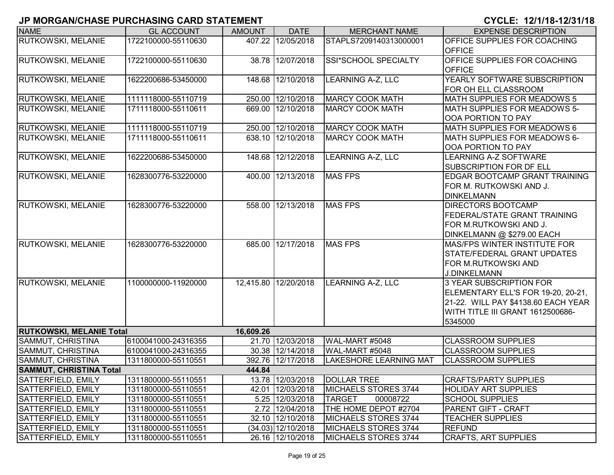| <b>NAME</b>                     | <b>GL ACCOUNT</b>   | <b>AMOUNT</b> | <b>DATE</b>        | <b>MERCHANT NAME</b>          | <b>EXPENSE DESCRIPTION</b>           |
|---------------------------------|---------------------|---------------|--------------------|-------------------------------|--------------------------------------|
| RUTKOWSKI, MELANIE              | 1722100000-55110630 |               | 407.22 12/05/2018  | STAPLS7209140313000001        | OFFICE SUPPLIES FOR COACHING         |
|                                 |                     |               |                    |                               | <b>OFFICE</b>                        |
| <b>RUTKOWSKI, MELANIE</b>       | 1722100000-55110630 |               | 38.78 12/07/2018   | SSI*SCHOOL SPECIALTY          | <b>OFFICE SUPPLIES FOR COACHING</b>  |
|                                 |                     |               |                    |                               | <b>OFFICE</b>                        |
| <b>RUTKOWSKI, MELANIE</b>       | 1622200686-53450000 | 148.68        | 12/10/2018         | <b>LEARNING A-Z, LLC</b>      | YEARLY SOFTWARE SUBSCRIPTION         |
|                                 |                     |               |                    |                               | FOR OH ELL CLASSROOM                 |
| <b>RUTKOWSKI, MELANIE</b>       | 1111118000-55110719 |               | 250.00 12/10/2018  | <b>MARCY COOK MATH</b>        | MATH SUPPLIES FOR MEADOWS 5          |
| <b>RUTKOWSKI, MELANIE</b>       | 1711118000-55110611 | 669.00        | 12/10/2018         | <b>MARCY COOK MATH</b>        | MATH SUPPLIES FOR MEADOWS 5-         |
|                                 |                     |               |                    |                               | OOA PORTION TO PAY                   |
| <b>RUTKOWSKI, MELANIE</b>       | 1111118000-55110719 |               | 250.00 12/10/2018  | <b>MARCY COOK MATH</b>        | <b>MATH SUPPLIES FOR MEADOWS 6</b>   |
| <b>RUTKOWSKI, MELANIE</b>       | 1711118000-55110611 | 638.10        | 12/10/2018         | <b>MARCY COOK MATH</b>        | MATH SUPPLIES FOR MEADOWS 6-         |
|                                 |                     |               |                    |                               | OOA PORTION TO PAY                   |
| <b>RUTKOWSKI, MELANIE</b>       | 1622200686-53450000 | 148.68        | 12/12/2018         | LEARNING A-Z, LLC             | LEARNING A-Z SOFTWARE                |
|                                 |                     |               |                    |                               | <b>SUBSCRIPTION FOR DF ELL</b>       |
| RUTKOWSKI, MELANIE              | 1628300776-53220000 | 400.00        | 12/13/2018         | <b>MAS FPS</b>                | <b>EDGAR BOOTCAMP GRANT TRAINING</b> |
|                                 |                     |               |                    |                               | FOR M. RUTKOWSKI AND J.              |
|                                 |                     |               |                    |                               | <b>DINKELMANN</b>                    |
| <b>RUTKOWSKI, MELANIE</b>       | 1628300776-53220000 |               | 558.00 12/13/2018  | <b>MAS FPS</b>                | <b>DIRECTORS BOOTCAMP</b>            |
|                                 |                     |               |                    |                               | <b>IFEDERAL/STATE GRANT TRAINING</b> |
|                                 |                     |               |                    |                               | FOR M.RUTKOWSKI AND J.               |
|                                 |                     |               |                    |                               | DINKELMANN @ \$279.00 EACH           |
| <b>RUTKOWSKI, MELANIE</b>       | 1628300776-53220000 | 685.00        | 12/17/2018         | <b>MAS FPS</b>                | <b>MAS/FPS WINTER INSTITUTE FOR</b>  |
|                                 |                     |               |                    |                               | <b>STATE/FEDERAL GRANT UPDATES</b>   |
|                                 |                     |               |                    |                               | <b>FOR M.RUTKOWSKI AND</b>           |
|                                 |                     |               |                    |                               | <b>J.DINKELMANN</b>                  |
| RUTKOWSKI, MELANIE              | 1100000000-11920000 | 12,415.80     | 12/20/2018         | <b>LEARNING A-Z, LLC</b>      | 3 YEAR SUBSCRIPTION FOR              |
|                                 |                     |               |                    |                               | ELEMENTARY ELL'S FOR 19-20, 20-21,   |
|                                 |                     |               |                    |                               | 21-22. WILL PAY \$4138.60 EACH YEAR  |
|                                 |                     |               |                    |                               | WITH TITLE III GRANT 1612500686-     |
|                                 |                     |               |                    |                               | 5345000                              |
| <b>RUTKOWSKI, MELANIE Total</b> |                     | 16,609.26     |                    |                               |                                      |
| <b>SAMMUT, CHRISTINA</b>        | 6100041000-24316355 |               | 21.70 12/03/2018   | WAL-MART #5048                | <b>CLASSROOM SUPPLIES</b>            |
| <b>SAMMUT, CHRISTINA</b>        | 6100041000-24316355 |               | 30.38 12/14/2018   | WAL-MART #5048                | <b>CLASSROOM SUPPLIES</b>            |
| <b>SAMMUT, CHRISTINA</b>        | 1311800000-55110551 |               | 392.76 12/17/2018  | <b>LAKESHORE LEARNING MAT</b> | <b>CLASSROOM SUPPLIES</b>            |
| <b>SAMMUT, CHRISTINA Total</b>  |                     | 444.84        |                    |                               |                                      |
| SATTERFIELD, EMILY              | 1311800000-55110551 |               | 13.78 12/03/2018   | <b>DOLLAR TREE</b>            | <b>CRAFTS/PARTY SUPPLIES</b>         |
| SATTERFIELD, EMILY              | 1311800000-55110551 |               | 42.01 12/03/2018   | MICHAELS STORES 3744          | <b>HOLIDAY ART SUPPLIES</b>          |
| SATTERFIELD, EMILY              | 1311800000-55110551 |               | 5.25 12/03/2018    | <b>TARGET</b><br>00008722     | <b>SCHOOL SUPPLIES</b>               |
| SATTERFIELD, EMILY              | 1311800000-55110551 |               | 2.72 12/04/2018    | THE HOME DEPOT #2704          | <b>PARENT GIFT - CRAFT</b>           |
| SATTERFIELD, EMILY              | 1311800000-55110551 |               | 32.10 12/10/2018   | MICHAELS STORES 3744          | <b>TEACHER SUPPLIES</b>              |
| SATTERFIELD, EMILY              | 1311800000-55110551 |               | (34.03) 12/10/2018 | MICHAELS STORES 3744          | <b>REFUND</b>                        |
| SATTERFIELD, EMILY              | 1311800000-55110551 |               | 26.16 12/10/2018   | MICHAELS STORES 3744          | <b>CRAFTS, ART SUPPLIES</b>          |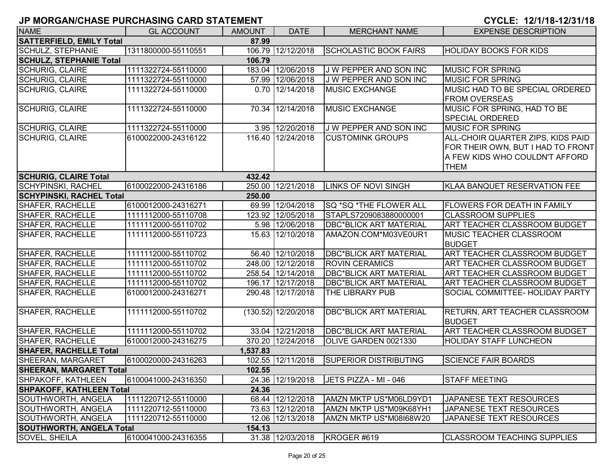| <b>NAME</b>                              | <b>GL ACCOUNT</b>   | <b>AMOUNT</b> | <b>DATE</b>           | <b>MERCHANT NAME</b>          | <b>EXPENSE DESCRIPTION</b>           |  |  |  |
|------------------------------------------|---------------------|---------------|-----------------------|-------------------------------|--------------------------------------|--|--|--|
| <b>SATTERFIELD, EMILY Total</b><br>87.99 |                     |               |                       |                               |                                      |  |  |  |
| <b>SCHULZ, STEPHANIE</b>                 | 1311800000-55110551 |               | 106.79 12/12/2018     | <b>SCHOLASTIC BOOK FAIRS</b>  | <b>HOLIDAY BOOKS FOR KIDS</b>        |  |  |  |
| <b>SCHULZ, STEPHANIE Total</b>           |                     | 106.79        |                       |                               |                                      |  |  |  |
| <b>SCHURIG, CLAIRE</b>                   | 1111322724-55110000 |               | 183.04 12/06/2018     | J W PEPPER AND SON INC        | <b>MUSIC FOR SPRING</b>              |  |  |  |
| <b>SCHURIG, CLAIRE</b>                   | 1111322724-55110000 |               | 57.99 12/06/2018      | J W PEPPER AND SON INC        | <b>MUSIC FOR SPRING</b>              |  |  |  |
| <b>SCHURIG, CLAIRE</b>                   | 1111322724-55110000 |               | $0.70$   12/14/2018   | <b>MUSIC EXCHANGE</b>         | MUSIC HAD TO BE SPECIAL ORDERED      |  |  |  |
|                                          |                     |               |                       |                               | <b>FROM OVERSEAS</b>                 |  |  |  |
| <b>SCHURIG, CLAIRE</b>                   | 1111322724-55110000 |               | 70.34 12/14/2018      | MUSIC EXCHANGE                | MUSIC FOR SPRING, HAD TO BE          |  |  |  |
|                                          |                     |               |                       |                               | <b>SPECIAL ORDERED</b>               |  |  |  |
| <b>SCHURIG, CLAIRE</b>                   | 1111322724-55110000 |               | 3.95 12/20/2018       | J W PEPPER AND SON INC        | <b>MUSIC FOR SPRING</b>              |  |  |  |
| <b>SCHURIG, CLAIRE</b>                   | 6100022000-24316122 |               | 116.40 12/24/2018     | <b>CUSTOMINK GROUPS</b>       | ALL-CHOIR QUARTER ZIPS, KIDS PAID    |  |  |  |
|                                          |                     |               |                       |                               | FOR THEIR OWN, BUT I HAD TO FRONT    |  |  |  |
|                                          |                     |               |                       |                               | A FEW KIDS WHO COULDN'T AFFORD       |  |  |  |
|                                          |                     |               |                       |                               | <b>THEM</b>                          |  |  |  |
| <b>SCHURIG, CLAIRE Total</b>             |                     | 432.42        |                       |                               |                                      |  |  |  |
| <b>SCHYPINSKI, RACHEL</b>                | 6100022000-24316186 |               | 250.00 12/21/2018     | <b>LINKS OF NOVI SINGH</b>    | KLAA BANQUET RESERVATION FEE         |  |  |  |
| <b>SCHYPINSKI, RACHEL Total</b>          |                     | 250.00        |                       |                               |                                      |  |  |  |
| <b>SHAFER, RACHELLE</b>                  | 6100012000-24316271 |               | 69.99 12/04/2018      | SQ *SQ *THE FLOWER ALL        | <b>FLOWERS FOR DEATH IN FAMILY</b>   |  |  |  |
| <b>SHAFER, RACHELLE</b>                  | 1111112000-55110708 |               | 123.92 12/05/2018     | STAPLS7209083880000001        | <b>CLASSROOM SUPPLIES</b>            |  |  |  |
| <b>SHAFER, RACHELLE</b>                  | 1111112000-55110702 |               | 5.98 12/06/2018       | <b>DBC*BLICK ART MATERIAL</b> | <b>ART TEACHER CLASSROOM BUDGET</b>  |  |  |  |
| <b>SHAFER, RACHELLE</b>                  | 1111112000-55110723 |               | 15.63 12/10/2018      | AMAZON.COM*M03VE0UR1          | <b>MUSIC TEACHER CLASSROOM</b>       |  |  |  |
|                                          |                     |               |                       |                               | <b>BUDGET</b>                        |  |  |  |
| SHAFER, RACHELLE                         | 1111112000-55110702 |               | 56.40 12/10/2018      | <b>DBC*BLICK ART MATERIAL</b> | ART TEACHER CLASSROOM BUDGET         |  |  |  |
| SHAFER, RACHELLE                         | 1111112000-55110702 |               | 248.00 12/12/2018     | <b>ROVIN CERAMICS</b>         | ART TEACHER CLASSROOM BUDGET         |  |  |  |
| SHAFER, RACHELLE                         | 1111112000-55110702 |               | 258.54 12/14/2018     | <b>DBC*BLICK ART MATERIAL</b> | <b>ART TEACHER CLASSROOM BUDGET</b>  |  |  |  |
| SHAFER, RACHELLE                         | 1111112000-55110702 |               | 196.17 12/17/2018     | <b>DBC*BLICK ART MATERIAL</b> | ART TEACHER CLASSROOM BUDGET         |  |  |  |
| SHAFER, RACHELLE                         | 6100012000-24316271 |               | 290.48 12/17/2018     | THE LIBRARY PUB               | SOCIAL COMMITTEE- HOLIDAY PARTY      |  |  |  |
| <b>SHAFER, RACHELLE</b>                  | 1111112000-55110702 |               | $(130.52)$ 12/20/2018 | <b>DBC*BLICK ART MATERIAL</b> | <b>RETURN, ART TEACHER CLASSROOM</b> |  |  |  |
|                                          |                     |               |                       |                               | <b>BUDGET</b>                        |  |  |  |
| SHAFER, RACHELLE                         | 1111112000-55110702 |               | 33.04 12/21/2018      | <b>DBC*BLICK ART MATERIAL</b> | <b>ART TEACHER CLASSROOM BUDGET</b>  |  |  |  |
| SHAFER, RACHELLE                         | 6100012000-24316275 |               | 370.20 12/24/2018     | OLIVE GARDEN 0021330          | <b>HOLIDAY STAFF LUNCHEON</b>        |  |  |  |
| <b>SHAFER, RACHELLE Total</b>            |                     | 1,537.83      |                       |                               |                                      |  |  |  |
| <b>SHEERAN, MARGARET</b>                 | 6100020000-24316263 |               | 102.55 12/11/2018     | <b>SUPERIOR DISTRIBUTING</b>  | <b>SCIENCE FAIR BOARDS</b>           |  |  |  |
| <b>SHEERAN, MARGARET Total</b>           |                     | 102.55        |                       |                               |                                      |  |  |  |
| SHPAKOFF, KATHLEEN                       | 6100041000-24316350 |               | 24.36 12/19/2018      | JETS PIZZA - MI - 046         | <b>STAFF MEETING</b>                 |  |  |  |
| <b>SHPAKOFF, KATHLEEN Total</b>          |                     | 24.36         |                       |                               |                                      |  |  |  |
| <b>SOUTHWORTH, ANGELA</b>                | 1111220712-55110000 |               | 68.44 12/12/2018      | AMZN MKTP US*M06LD9YD1        | JAPANESE TEXT RESOURCES              |  |  |  |
| <b>SOUTHWORTH, ANGELA</b>                | 1111220712-55110000 |               | 73.63 12/12/2018      | AMZN MKTP US*M09K68YH1        | JAPANESE TEXT RESOURCES              |  |  |  |
| SOUTHWORTH, ANGELA                       | 1111220712-55110000 |               | 12.06 12/13/2018      | AMZN MKTP US*M08I68W20        | JAPANESE TEXT RESOURCES              |  |  |  |
| <b>SOUTHWORTH, ANGELA Total</b>          |                     | 154.13        |                       |                               |                                      |  |  |  |
| <b>SOVEL, SHEILA</b>                     | 6100041000-24316355 |               | 31.38 12/03/2018      | KROGER #619                   | <b>CLASSROOM TEACHING SUPPLIES</b>   |  |  |  |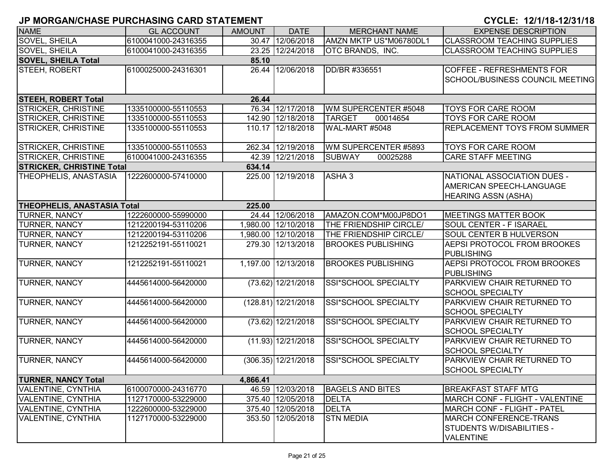| <b>NAME</b>                         | <b>GL ACCOUNT</b>   | <b>AMOUNT</b> | <b>DATE</b>           | <b>MERCHANT NAME</b>        | <b>EXPENSE DESCRIPTION</b>             |  |  |  |  |
|-------------------------------------|---------------------|---------------|-----------------------|-----------------------------|----------------------------------------|--|--|--|--|
| <b>SOVEL, SHEILA</b>                | 6100041000-24316355 |               | 30.47 12/06/2018      | AMZN MKTP US*M06780DL1      | <b>CLASSROOM TEACHING SUPPLIES</b>     |  |  |  |  |
| SOVEL, SHEILA                       | 6100041000-24316355 |               | 23.25 12/24/2018      | OTC BRANDS, INC.            | <b>CLASSROOM TEACHING SUPPLIES</b>     |  |  |  |  |
| <b>SOVEL, SHEILA Total</b><br>85.10 |                     |               |                       |                             |                                        |  |  |  |  |
| STEEH, ROBERT                       | 6100025000-24316301 | 26.44         | 12/06/2018            | DD/BR #336551               | <b>COFFEE - REFRESHMENTS FOR</b>       |  |  |  |  |
|                                     |                     |               |                       |                             | <b>SCHOOL/BUSINESS COUNCIL MEETING</b> |  |  |  |  |
|                                     |                     |               |                       |                             |                                        |  |  |  |  |
| <b>STEEH, ROBERT Total</b><br>26.44 |                     |               |                       |                             |                                        |  |  |  |  |
| <b>STRICKER, CHRISTINE</b>          | 1335100000-55110553 |               | 76.34 12/17/2018      | WM SUPERCENTER #5048        | <b>TOYS FOR CARE ROOM</b>              |  |  |  |  |
| <b>STRICKER, CHRISTINE</b>          | 1335100000-55110553 |               | 142.90 12/18/2018     | <b>TARGET</b><br>00014654   | <b>TOYS FOR CARE ROOM</b>              |  |  |  |  |
| <b>STRICKER, CHRISTINE</b>          | 1335100000-55110553 |               | 110.17 12/18/2018     | WAL-MART #5048              | <b>REPLACEMENT TOYS FROM SUMMER</b>    |  |  |  |  |
|                                     |                     |               |                       |                             |                                        |  |  |  |  |
| <b>STRICKER, CHRISTINE</b>          | 1335100000-55110553 |               | 262.34 12/19/2018     | WM SUPERCENTER #5893        | <b>TOYS FOR CARE ROOM</b>              |  |  |  |  |
| <b>STRICKER, CHRISTINE</b>          | 6100041000-24316355 |               | 42.39 12/21/2018      | <b>SUBWAY</b><br>00025288   | <b>CARE STAFF MEETING</b>              |  |  |  |  |
| <b>STRICKER, CHRISTINE Total</b>    |                     | 634.14        |                       |                             |                                        |  |  |  |  |
| THEOPHELIS, ANASTASIA               | 1222600000-57410000 |               | 225.00 12/19/2018     | ASHA <sub>3</sub>           | NATIONAL ASSOCIATION DUES -            |  |  |  |  |
|                                     |                     |               |                       |                             | AMERICAN SPEECH-LANGUAGE               |  |  |  |  |
|                                     |                     |               |                       |                             | <b>HEARING ASSN (ASHA)</b>             |  |  |  |  |
| <b>THEOPHELIS, ANASTASIA Total</b>  |                     | 225.00        |                       |                             |                                        |  |  |  |  |
| <b>TURNER, NANCY</b>                | 1222600000-55990000 |               | 24.44 12/06/2018      | AMAZON.COM*M00JP8DO1        | <b>MEETINGS MATTER BOOK</b>            |  |  |  |  |
| <b>TURNER, NANCY</b>                | 1212200194-53110206 |               | 1,980.00 12/10/2018   | THE FRIENDSHIP CIRCLE/      | <b>SOUL CENTER - F ISARAEL</b>         |  |  |  |  |
| <b>TURNER, NANCY</b>                | 1212200194-53110206 |               | 1,980.00 12/10/2018   | THE FRIENDSHIP CIRCLE/      | <b>SOUL CENTER B HULVERSON</b>         |  |  |  |  |
| <b>TURNER, NANCY</b>                | 1212252191-55110021 |               | 279.30 12/13/2018     | <b>BROOKES PUBLISHING</b>   | <b>AEPSI PROTOCOL FROM BROOKES</b>     |  |  |  |  |
|                                     |                     |               |                       |                             | PUBLISHING                             |  |  |  |  |
| <b>TURNER, NANCY</b>                | 1212252191-55110021 |               | 1,197.00 12/13/2018   | <b>BROOKES PUBLISHING</b>   | AEPSI PROTOCOL FROM BROOKES            |  |  |  |  |
|                                     |                     |               |                       |                             | PUBLISHING                             |  |  |  |  |
| <b>TURNER, NANCY</b>                | 4445614000-56420000 |               | $(73.62)$ 12/21/2018  | <b>SSI*SCHOOL SPECIALTY</b> | <b>PARKVIEW CHAIR RETURNED TO</b>      |  |  |  |  |
|                                     |                     |               |                       |                             | <b>SCHOOL SPECIALTY</b>                |  |  |  |  |
| TURNER, NANCY                       | 4445614000-56420000 |               | $(128.81)$ 12/21/2018 | SSI*SCHOOL SPECIALTY        | <b>PARKVIEW CHAIR RETURNED TO</b>      |  |  |  |  |
|                                     |                     |               |                       |                             | <b>SCHOOL SPECIALTY</b>                |  |  |  |  |
| <b>TURNER, NANCY</b>                | 4445614000-56420000 |               | $(73.62)$ 12/21/2018  | SSI*SCHOOL SPECIALTY        | <b>PARKVIEW CHAIR RETURNED TO</b>      |  |  |  |  |
|                                     |                     |               |                       |                             | <b>SCHOOL SPECIALTY</b>                |  |  |  |  |
| <b>TURNER, NANCY</b>                | 4445614000-56420000 |               | (11.93) 12/21/2018    | SSI*SCHOOL SPECIALTY        | <b>PARKVIEW CHAIR RETURNED TO</b>      |  |  |  |  |
|                                     |                     |               |                       |                             | <b>SCHOOL SPECIALTY</b>                |  |  |  |  |
| <b>TURNER, NANCY</b>                | 4445614000-56420000 |               | $(306.35)$ 12/21/2018 | SSI*SCHOOL SPECIALTY        | PARKVIEW CHAIR RETURNED TO             |  |  |  |  |
|                                     |                     |               |                       |                             | <b>SCHOOL SPECIALTY</b>                |  |  |  |  |
| <b>TURNER, NANCY Total</b>          |                     | 4,866.41      |                       |                             |                                        |  |  |  |  |
| <b>VALENTINE, CYNTHIA</b>           | 6100070000-24316770 |               | 46.59 12/03/2018      | <b>BAGELS AND BITES</b>     | <b>BREAKFAST STAFF MTG</b>             |  |  |  |  |
| <b>VALENTINE, CYNTHIA</b>           | 1127170000-53229000 |               | 375.40 12/05/2018     | <b>DELTA</b>                | MARCH CONF - FLIGHT - VALENTINE        |  |  |  |  |
| <b>VALENTINE, CYNTHIA</b>           | 1222600000-53229000 |               | 375.40 12/05/2018     | <b>DELTA</b>                | MARCH CONF - FLIGHT - PATEL            |  |  |  |  |
| <b>VALENTINE, CYNTHIA</b>           | 1127170000-53229000 |               | 353.50 12/05/2018     | <b>STN MEDIA</b>            | <b>MARCH CONFERENCE-TRANS</b>          |  |  |  |  |
|                                     |                     |               |                       |                             | STUDENTS W/DISABILITIES -              |  |  |  |  |
|                                     |                     |               |                       |                             | VALENTINE                              |  |  |  |  |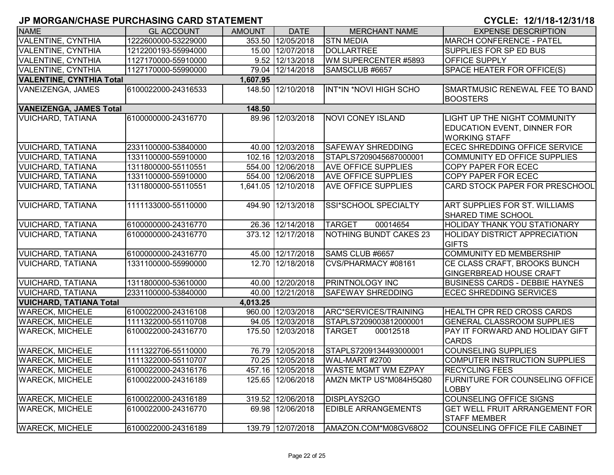| <b>NAME</b>                              | <b>GL ACCOUNT</b>   | <b>AMOUNT</b> | <b>DATE</b>         | <b>MERCHANT NAME</b>          | <b>EXPENSE DESCRIPTION</b>                                        |  |  |  |
|------------------------------------------|---------------------|---------------|---------------------|-------------------------------|-------------------------------------------------------------------|--|--|--|
| <b>VALENTINE, CYNTHIA</b>                | 1222600000-53229000 |               | 353.50 12/05/2018   | <b>STN MEDIA</b>              | <b>MARCH CONFERENCE - PATEL</b>                                   |  |  |  |
| <b>VALENTINE, CYNTHIA</b>                | 1212200193-55994000 |               | 15.00 12/07/2018    | <b>DOLLARTREE</b>             | <b>SUPPLIES FOR SP ED BUS</b>                                     |  |  |  |
| <b>VALENTINE, CYNTHIA</b>                | 1127170000-55910000 |               | 9.52 12/13/2018     | WM SUPERCENTER #5893          | <b>OFFICE SUPPLY</b>                                              |  |  |  |
| <b>VALENTINE, CYNTHIA</b>                | 1127170000-55990000 |               | 79.04 12/14/2018    | SAMSCLUB #6657                | SPACE HEATER FOR OFFICE(S)                                        |  |  |  |
| <b>VALENTINE, CYNTHIA Total</b>          |                     | 1,607.95      |                     |                               |                                                                   |  |  |  |
| VANEIZENGA, JAMES                        | 6100022000-24316533 |               | 148.50 12/10/2018   | <b>INT*IN *NOVI HIGH SCHO</b> | SMARTMUSIC RENEWAL FEE TO BAND<br><b>BOOSTERS</b>                 |  |  |  |
| <b>VANEIZENGA, JAMES Total</b><br>148.50 |                     |               |                     |                               |                                                                   |  |  |  |
| <b>VUICHARD, TATIANA</b>                 | 6100000000-24316770 |               | 89.96 12/03/2018    | <b>NOVI CONEY ISLAND</b>      | <b>LIGHT UP THE NIGHT COMMUNITY</b>                               |  |  |  |
|                                          |                     |               |                     |                               | <b>EDUCATION EVENT, DINNER FOR</b><br><b>WORKING STAFF</b>        |  |  |  |
| <b>VUICHARD, TATIANA</b>                 | 2331100000-53840000 |               | 40.00 12/03/2018    | <b>SAFEWAY SHREDDING</b>      | <b>ECEC SHREDDING OFFICE SERVICE</b>                              |  |  |  |
| <b>VUICHARD, TATIANA</b>                 | 1331100000-55910000 |               | 102.16 12/03/2018   | STAPLS7209045687000001        | COMMUNITY ED OFFICE SUPPLIES                                      |  |  |  |
| <b>VUICHARD, TATIANA</b>                 | 1311800000-55110551 |               | 554.00 12/06/2018   | <b>AVE OFFICE SUPPLIES</b>    | COPY PAPER FOR ECEC                                               |  |  |  |
| <b>VUICHARD, TATIANA</b>                 | 1331100000-55910000 |               | 554.00 12/06/2018   | <b>AVE OFFICE SUPPLIES</b>    | <b>COPY PAPER FOR ECEC</b>                                        |  |  |  |
| <b>VUICHARD, TATIANA</b>                 | 1311800000-55110551 |               | 1,641.05 12/10/2018 | <b>AVE OFFICE SUPPLIES</b>    | <b>CARD STOCK PAPER FOR PRESCHOOL</b>                             |  |  |  |
| <b>VUICHARD, TATIANA</b>                 | 1111133000-55110000 |               | 494.90 12/13/2018   | SSI*SCHOOL SPECIALTY          | <b>ART SUPPLIES FOR ST. WILLIAMS</b><br><b>SHARED TIME SCHOOL</b> |  |  |  |
| <b>VUICHARD, TATIANA</b>                 | 6100000000-24316770 |               | 26.36 12/14/2018    | <b>TARGET</b><br>00014654     | <b>HOLIDAY THANK YOU STATIONARY</b>                               |  |  |  |
| <b>VUICHARD, TATIANA</b>                 | 6100000000-24316770 |               | 373.12 12/17/2018   | NOTHING BUNDT CAKES 23        | <b>HOLIDAY DISTRICT APPRECIATION</b><br><b>GIFTS</b>              |  |  |  |
| <b>VUICHARD, TATIANA</b>                 | 6100000000-24316770 |               | 45.00 12/17/2018    | SAMS CLUB #6657               | <b>COMMUNITY ED MEMBERSHIP</b>                                    |  |  |  |
| <b>VUICHARD, TATIANA</b>                 | 1331100000-55990000 |               | 12.70 12/18/2018    | CVS/PHARMACY #08161           | CE CLASS CRAFT, BROOKS BUNCH<br><b>GINGERBREAD HOUSE CRAFT</b>    |  |  |  |
| <b>VUICHARD, TATIANA</b>                 | 1311800000-53610000 |               | 40.00 12/20/2018    | <b>PRINTNOLOGY INC</b>        | <b>BUSINESS CARDS - DEBBIE HAYNES</b>                             |  |  |  |
| <b>VUICHARD, TATIANA</b>                 | 2331100000-53840000 |               | 40.00 12/21/2018    | <b>SAFEWAY SHREDDING</b>      | <b>ECEC SHREDDING SERVICES</b>                                    |  |  |  |
| <b>VUICHARD, TATIANA Total</b>           |                     | 4,013.25      |                     |                               |                                                                   |  |  |  |
| <b>WARECK, MICHELE</b>                   | 6100022000-24316108 |               | 960.00 12/03/2018   | ARC*SERVICES/TRAINING         | <b>HEALTH CPR RED CROSS CARDS</b>                                 |  |  |  |
| <b>WARECK, MICHELE</b>                   | 1111322000-55110708 |               | 94.05 12/03/2018    | STAPLS7209003812000001        | <b>GENERAL CLASSROOM SUPPLIES</b>                                 |  |  |  |
| <b>WARECK, MICHELE</b>                   | 6100022000-24316770 |               | 175.50 12/03/2018   | <b>TARGET</b><br>00012518     | PAY IT FORWARD AND HOLIDAY GIFT<br><b>CARDS</b>                   |  |  |  |
| <b>WARECK, MICHELE</b>                   | 1111322706-55110000 |               | 76.79 12/05/2018    | STAPLS7209134493000001        | <b>COUNSELING SUPPLIES</b>                                        |  |  |  |
| <b>WARECK, MICHELE</b>                   | 1111322000-55110707 |               | 70.25 12/05/2018    | <b>WAL-MART #2700</b>         | COMPUTER INSTRUCTION SUPPLIES                                     |  |  |  |
| <b>WARECK, MICHELE</b>                   | 6100022000-24316176 |               | 457.16 12/05/2018   | <b>WASTE MGMT WM EZPAY</b>    | <b>RECYCLING FEES</b>                                             |  |  |  |
| <b>WARECK, MICHELE</b>                   | 6100022000-24316189 |               | 125.65 12/06/2018   | AMZN MKTP US*M084H5Q80        | <b>FURNITURE FOR COUNSELING OFFICE</b><br><b>LOBBY</b>            |  |  |  |
| <b>WARECK, MICHELE</b>                   | 6100022000-24316189 |               | 319.52 12/06/2018   | DISPLAYS2GO                   | COUNSELING OFFICE SIGNS                                           |  |  |  |
| <b>WARECK, MICHELE</b>                   | 6100022000-24316770 |               | 69.98 12/06/2018    | EDIBLE ARRANGEMENTS           | <b>GET WELL FRUIT ARRANGEMENT FOR</b><br><b>STAFF MEMBER</b>      |  |  |  |
| <b>WARECK, MICHELE</b>                   | 6100022000-24316189 |               | 139.79 12/07/2018   | AMAZON.COM*M08GV68O2          | COUNSELING OFFICE FILE CABINET                                    |  |  |  |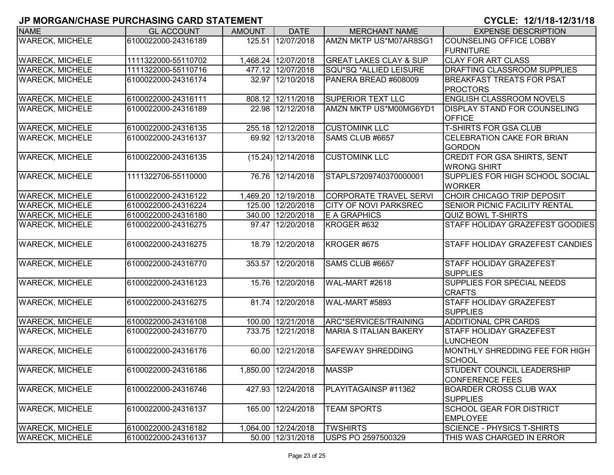| <b>NAME</b>            | <b>GL ACCOUNT</b>   | <b>AMOUNT</b> | <b>DATE</b>          | <b>MERCHANT NAME</b>              | <b>EXPENSE DESCRIPTION</b>             |
|------------------------|---------------------|---------------|----------------------|-----------------------------------|----------------------------------------|
| <b>WARECK, MICHELE</b> | 6100022000-24316189 |               | 125.51 12/07/2018    | AMZN MKTP US*M07AR8SG1            | COUNSELING OFFICE LOBBY                |
|                        |                     |               |                      |                                   | <b>FURNITURE</b>                       |
| <b>WARECK, MICHELE</b> | 1111322000-55110702 |               | 1,468.24 12/07/2018  | <b>GREAT LAKES CLAY &amp; SUP</b> | <b>CLAY FOR ART CLASS</b>              |
| <b>WARECK, MICHELE</b> | 1111322000-55110716 |               | 477.12 12/07/2018    | SQU*SQ *ALLIED LEISURE            | <b>DRAFTING CLASSROOM SUPPLIES</b>     |
| <b>WARECK, MICHELE</b> | 6100022000-24316174 |               | 32.97 12/10/2018     | PANERA BREAD #608009              | <b>BREAKFAST TREATS FOR PSAT</b>       |
|                        |                     |               |                      |                                   | <b>PROCTORS</b>                        |
| <b>WARECK, MICHELE</b> | 6100022000-24316111 |               | 808.12 12/11/2018    | <b>SUPERIOR TEXT LLC</b>          | <b>ENGLISH CLASSROOM NOVELS</b>        |
| <b>WARECK, MICHELE</b> | 6100022000-24316189 |               | 22.98 12/12/2018     | AMZN MKTP US*M00MG6YD1            | <b>DISPLAY STAND FOR COUNSELING</b>    |
|                        |                     |               |                      |                                   | <b>OFFICE</b>                          |
| <b>WARECK, MICHELE</b> | 6100022000-24316135 |               | 255.18 12/12/2018    | <b>CUSTOMINK LLC</b>              | <b>T-SHIRTS FOR GSA CLUB</b>           |
| <b>WARECK, MICHELE</b> | 6100022000-24316137 |               | 69.92 12/13/2018     | SAMS CLUB #6657                   | <b>CELEBRATION CAKE FOR BRIAN</b>      |
|                        |                     |               |                      |                                   | <b>GORDON</b>                          |
| <b>WARECK, MICHELE</b> | 6100022000-24316135 |               | $(15.24)$ 12/14/2018 | <b>CUSTOMINK LLC</b>              | <b>CREDIT FOR GSA SHIRTS, SENT</b>     |
|                        |                     |               |                      |                                   | <b>WRONG SHIRT</b>                     |
| <b>WARECK, MICHELE</b> | 1111322706-55110000 |               | 76.76 12/14/2018     | STAPLS7209740370000001            | <b>SUPPLIES FOR HIGH SCHOOL SOCIAL</b> |
|                        |                     |               |                      |                                   | <b>WORKER</b>                          |
| <b>WARECK, MICHELE</b> | 6100022000-24316122 |               | 1,469.20 12/19/2018  | <b>CORPORATE TRAVEL SERVI</b>     | CHOIR CHICAGO TRIP DEPOSIT             |
| <b>WARECK, MICHELE</b> | 6100022000-24316224 |               | 125.00 12/20/2018    | <b>CITY OF NOVI PARKSREC</b>      | <b>SENIOR PICNIC FACILITY RENTAL</b>   |
| <b>WARECK, MICHELE</b> | 6100022000-24316180 |               | 340.00 12/20/2018    | E A GRAPHICS                      | QUIZ BOWL T-SHIRTS                     |
| <b>WARECK, MICHELE</b> | 6100022000-24316275 |               | 97.47 12/20/2018     | KROGER #632                       | STAFF HOLIDAY GRAZEFEST GOODIES        |
|                        |                     |               |                      |                                   |                                        |
| <b>WARECK, MICHELE</b> | 6100022000-24316275 |               | 18.79 12/20/2018     | KROGER #675                       | <b>STAFF HOLIDAY GRAZEFEST CANDIES</b> |
|                        |                     |               |                      |                                   |                                        |
| <b>WARECK, MICHELE</b> | 6100022000-24316770 |               | 353.57 12/20/2018    | SAMS CLUB #6657                   | <b>STAFF HOLIDAY GRAZEFEST</b>         |
|                        |                     |               |                      |                                   | <b>SUPPLIES</b>                        |
| <b>WARECK, MICHELE</b> | 6100022000-24316123 |               | 15.76 12/20/2018     | <b>WAL-MART #2618</b>             | <b>SUPPLIES FOR SPECIAL NEEDS</b>      |
|                        |                     |               |                      |                                   | <b>CRAFTS</b>                          |
| <b>WARECK, MICHELE</b> | 6100022000-24316275 |               | 81.74 12/20/2018     | <b>WAL-MART #5893</b>             | <b>STAFF HOLIDAY GRAZEFEST</b>         |
|                        |                     |               |                      |                                   | <b>SUPPLIES</b>                        |
| <b>WARECK, MICHELE</b> | 6100022000-24316108 |               | 100.00 12/21/2018    | ARC*SERVICES/TRAINING             | <b>ADDITIONAL CPR CARDS</b>            |
| <b>WARECK, MICHELE</b> | 6100022000-24316770 |               | 733.75 12/21/2018    | <b>MARIA S ITALIAN BAKERY</b>     | <b>STAFF HOLIDAY GRAZEFEST</b>         |
|                        |                     |               |                      |                                   | <b>LUNCHEON</b>                        |
| <b>WARECK, MICHELE</b> | 6100022000-24316176 |               | 60.00 12/21/2018     | <b>SAFEWAY SHREDDING</b>          | MONTHLY SHREDDING FEE FOR HIGH         |
|                        |                     |               |                      |                                   | <b>SCHOOL</b>                          |
| <b>WARECK, MICHELE</b> | 6100022000-24316186 |               | 1,850.00 12/24/2018  | <b>MASSP</b>                      | <b>STUDENT COUNCIL LEADERSHIP</b>      |
|                        |                     |               |                      |                                   | CONFERENCE FEES                        |
| <b>WARECK, MICHELE</b> | 6100022000-24316746 |               | 427.93 12/24/2018    | PLAYITAGAINSP #11362              | <b>BOARDER CROSS CLUB WAX</b>          |
|                        |                     |               |                      |                                   | <b>SUPPLIES</b>                        |
| <b>WARECK, MICHELE</b> | 6100022000-24316137 |               | 165.00 12/24/2018    | <b>TEAM SPORTS</b>                | <b>SCHOOL GEAR FOR DISTRICT</b>        |
|                        |                     |               |                      |                                   | <b>EMPLOYEE</b>                        |
| <b>WARECK, MICHELE</b> | 6100022000-24316182 |               | 1,064.00 12/24/2018  | <b>TWSHIRTS</b>                   | SCIENCE - PHYSICS T-SHIRTS             |
| <b>WARECK, MICHELE</b> | 6100022000-24316137 |               | 50.00 12/31/2018     | USPS PO 2597500329                | THIS WAS CHARGED IN ERROR              |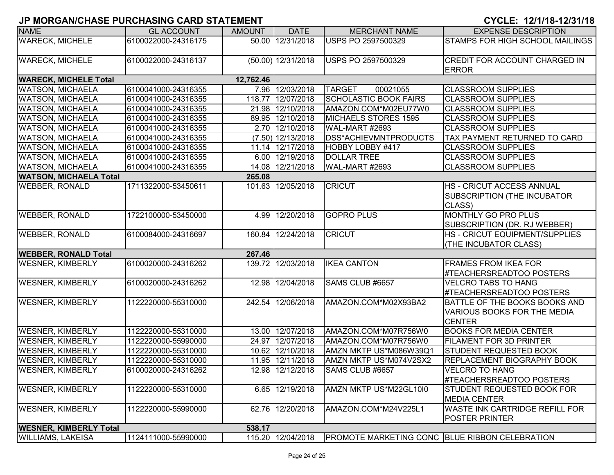| <b>NAME</b>                   | <b>GL ACCOUNT</b>   | <b>AMOUNT</b> | <b>DATE</b>          | <b>MERCHANT NAME</b>                           | <b>EXPENSE DESCRIPTION</b>                                                           |
|-------------------------------|---------------------|---------------|----------------------|------------------------------------------------|--------------------------------------------------------------------------------------|
| <b>WARECK, MICHELE</b>        | 6100022000-24316175 |               | 50.00 12/31/2018     | <b>USPS PO 2597500329</b>                      | STAMPS FOR HIGH SCHOOL MAILINGS                                                      |
| <b>WARECK, MICHELE</b>        | 6100022000-24316137 |               | $(50.00)$ 12/31/2018 | <b>USPS PO 2597500329</b>                      | CREDIT FOR ACCOUNT CHARGED IN<br><b>ERROR</b>                                        |
| <b>WARECK, MICHELE Total</b>  |                     | 12,762.46     |                      |                                                |                                                                                      |
| <b>WATSON, MICHAELA</b>       | 6100041000-24316355 |               | 7.96 12/03/2018      | <b>TARGET</b><br>00021055                      | <b>CLASSROOM SUPPLIES</b>                                                            |
| <b>WATSON, MICHAELA</b>       | 6100041000-24316355 |               | 118.77 12/07/2018    | <b>SCHOLASTIC BOOK FAIRS</b>                   | <b>CLASSROOM SUPPLIES</b>                                                            |
| <b>WATSON, MICHAELA</b>       | 6100041000-24316355 |               | 21.98 12/10/2018     | AMAZON.COM*M02EU77W0                           | <b>CLASSROOM SUPPLIES</b>                                                            |
| <b>WATSON, MICHAELA</b>       | 6100041000-24316355 |               | 89.95 12/10/2018     | MICHAELS STORES 1595                           | <b>CLASSROOM SUPPLIES</b>                                                            |
| <b>WATSON, MICHAELA</b>       | 6100041000-24316355 |               | 2.70 12/10/2018      | WAL-MART #2693                                 | <b>CLASSROOM SUPPLIES</b>                                                            |
| <b>WATSON, MICHAELA</b>       | 6100041000-24316355 |               | $(7.50)$ 12/13/2018  | <b>DSS*ACHIEVMNTPRODUCTS</b>                   | TAX PAYMENT RETURNED TO CARD                                                         |
| <b>WATSON, MICHAELA</b>       | 6100041000-24316355 |               | 11.14 12/17/2018     | HOBBY LOBBY #417                               | <b>CLASSROOM SUPPLIES</b>                                                            |
| <b>WATSON, MICHAELA</b>       | 6100041000-24316355 |               | 6.00 12/19/2018      | <b>DOLLAR TREE</b>                             | <b>CLASSROOM SUPPLIES</b>                                                            |
| <b>WATSON, MICHAELA</b>       | 6100041000-24316355 |               | 14.08 12/21/2018     | WAL-MART #2693                                 | <b>CLASSROOM SUPPLIES</b>                                                            |
| <b>WATSON, MICHAELA Total</b> |                     | 265.08        |                      |                                                |                                                                                      |
| <b>WEBBER, RONALD</b>         | 1711322000-53450611 |               | 101.63 12/05/2018    | <b>CRICUT</b>                                  | <b>HS - CRICUT ACCESS ANNUAL</b><br>SUBSCRIPTION (THE INCUBATOR<br>CLASS)            |
| <b>WEBBER, RONALD</b>         | 1722100000-53450000 |               | 4.99 12/20/2018      | <b>GOPRO PLUS</b>                              | MONTHLY GO PRO PLUS<br>SUBSCRIPTION (DR. RJ WEBBER)                                  |
| <b>WEBBER, RONALD</b>         | 6100084000-24316697 |               | 160.84 12/24/2018    | <b>CRICUT</b>                                  | <b>HS - CRICUT EQUIPMENT/SUPPLIES</b><br>(THE INCUBATOR CLASS)                       |
| <b>WEBBER, RONALD Total</b>   |                     | 267.46        |                      |                                                |                                                                                      |
| <b>WESNER, KIMBERLY</b>       | 6100020000-24316262 |               | 139.72 12/03/2018    | <b>IKEA CANTON</b>                             | <b>FRAMES FROM IKEA FOR</b><br>#TEACHERSREADTOO POSTERS                              |
| <b>WESNER, KIMBERLY</b>       | 6100020000-24316262 |               | 12.98 12/04/2018     | SAMS CLUB #6657                                | <b>VELCRO TABS TO HANG</b><br>#TEACHERSREADTOO POSTERS                               |
| <b>WESNER, KIMBERLY</b>       | 1122220000-55310000 |               | 242.54 12/06/2018    | AMAZON.COM*M02X93BA2                           | BATTLE OF THE BOOKS BOOKS AND<br><b>VARIOUS BOOKS FOR THE MEDIA</b><br><b>CENTER</b> |
| <b>WESNER, KIMBERLY</b>       | 1122220000-55310000 |               | 13.00 12/07/2018     | AMAZON.COM*M07R756W0                           | <b>BOOKS FOR MEDIA CENTER</b>                                                        |
| <b>WESNER, KIMBERLY</b>       | 1122220000-55990000 |               | 24.97 12/07/2018     | AMAZON.COM*M07R756W0                           | <b>FILAMENT FOR 3D PRINTER</b>                                                       |
| <b>WESNER, KIMBERLY</b>       | 1122220000-55310000 |               | 10.62 12/10/2018     | AMZN MKTP US*M086W39Q1                         | STUDENT REQUESTED BOOK                                                               |
| <b>WESNER, KIMBERLY</b>       | 1122220000-55310000 |               | 11.95 12/11/2018     | AMZN MKTP US*M074V2SX2                         | REPLACEMENT BIOGRAPHY BOOK                                                           |
| <b>WESNER, KIMBERLY</b>       | 6100020000-24316262 |               | 12.98 12/12/2018     | SAMS CLUB #6657                                | <b>VELCRO TO HANG</b><br>#TEACHERSREADTOO POSTERS                                    |
| <b>WESNER, KIMBERLY</b>       | 1122220000-55310000 |               | 6.65 12/19/2018      | AMZN MKTP US*M22GL10I0                         | STUDENT REQUESTED BOOK FOR<br><b>MEDIA CENTER</b>                                    |
| <b>WESNER, KIMBERLY</b>       | 1122220000-55990000 |               | 62.76 12/20/2018     | AMAZON.COM*M24V225L1                           | <b>WASTE INK CARTRIDGE REFILL FOR</b><br><b>POSTER PRINTER</b>                       |
| <b>WESNER, KIMBERLY Total</b> |                     | 538.17        |                      |                                                |                                                                                      |
| <b>WILLIAMS, LAKEISA</b>      | 1124111000-55990000 |               | 115.20 12/04/2018    | PROMOTE MARKETING CONC BLUE RIBBON CELEBRATION |                                                                                      |